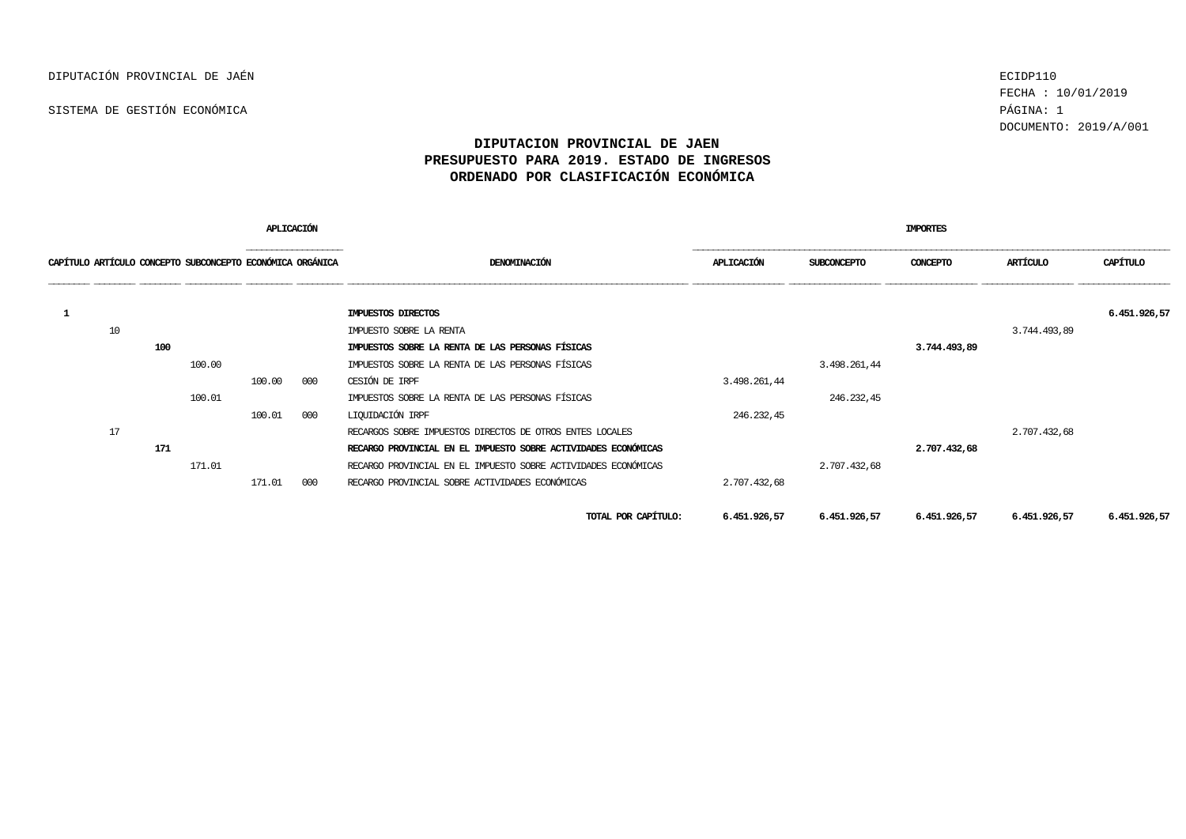FECHA : 10/01/2019 DOCUMENTO: 2019/A/001

|   |    |     |                                                           | APLICACIÓN |                  |                                                                | IMPORTES     |              |              |              |              |  |  |  |
|---|----|-----|-----------------------------------------------------------|------------|------------------|----------------------------------------------------------------|--------------|--------------|--------------|--------------|--------------|--|--|--|
|   |    |     | CAPÍTULO ARTÍCULO CONCEPTO SUBCONCEPTO ECONÓMICA ORGÁNICA |            | ---------------- | DENOMINACIÓN                                                   | APLICACIÓN   | SUBCONCEPTO  | CONCEPTO     | ARTÍCULO     | CAPÍTULO     |  |  |  |
| 1 |    |     |                                                           |            |                  | IMPUESTOS DIRECTOS                                             |              |              |              |              | 6.451.926,57 |  |  |  |
|   | 10 |     |                                                           |            |                  | IMPUESTO SOBRE LA RENTA                                        |              |              |              | 3.744.493,89 |              |  |  |  |
|   |    | 100 |                                                           |            |                  | IMPUESTOS SOBRE LA RENTA DE LAS PERSONAS FÍSICAS               |              |              | 3.744.493,89 |              |              |  |  |  |
|   |    |     | 100.00                                                    |            |                  | IMPUESTOS SOBRE LA RENTA DE LAS PERSONAS FÍSICAS               |              | 3.498.261,44 |              |              |              |  |  |  |
|   |    |     |                                                           | 100.00     | 000              | CESIÓN DE IRPF                                                 | 3.498.261,44 |              |              |              |              |  |  |  |
|   |    |     | 100.01                                                    |            |                  | IMPUESTOS SOBRE LA RENTA DE LAS PERSONAS FÍSICAS               |              | 246.232,45   |              |              |              |  |  |  |
|   |    |     |                                                           | 100.01     | 000              | LIQUIDACIÓN IRPF                                               | 246.232,45   |              |              |              |              |  |  |  |
|   | 17 |     |                                                           |            |                  | RECARGOS SOBRE IMPUESTOS DIRECTOS DE OTROS ENTES LOCALES       |              |              |              | 2.707.432,68 |              |  |  |  |
|   |    | 171 |                                                           |            |                  | RECARGO PROVINCIAL EN EL IMPUESTO SOBRE ACTIVIDADES ECONÓMICAS |              |              | 2.707.432,68 |              |              |  |  |  |
|   |    |     | 171.01                                                    |            |                  | RECARGO PROVINCIAL EN EL IMPUESTO SOBRE ACTIVIDADES ECONÓMICAS |              | 2.707.432,68 |              |              |              |  |  |  |
|   |    |     |                                                           | 171.01     | 000              | RECARGO PROVINCIAL SOBRE ACTIVIDADES ECONÓMICAS                | 2.707.432,68 |              |              |              |              |  |  |  |
|   |    |     |                                                           |            |                  | TOTAL POR CAPÍTULO:                                            | 6.451.926,57 | 6.451.926,57 | 6.451.926,57 | 6.451.926,57 | 6.451.926,57 |  |  |  |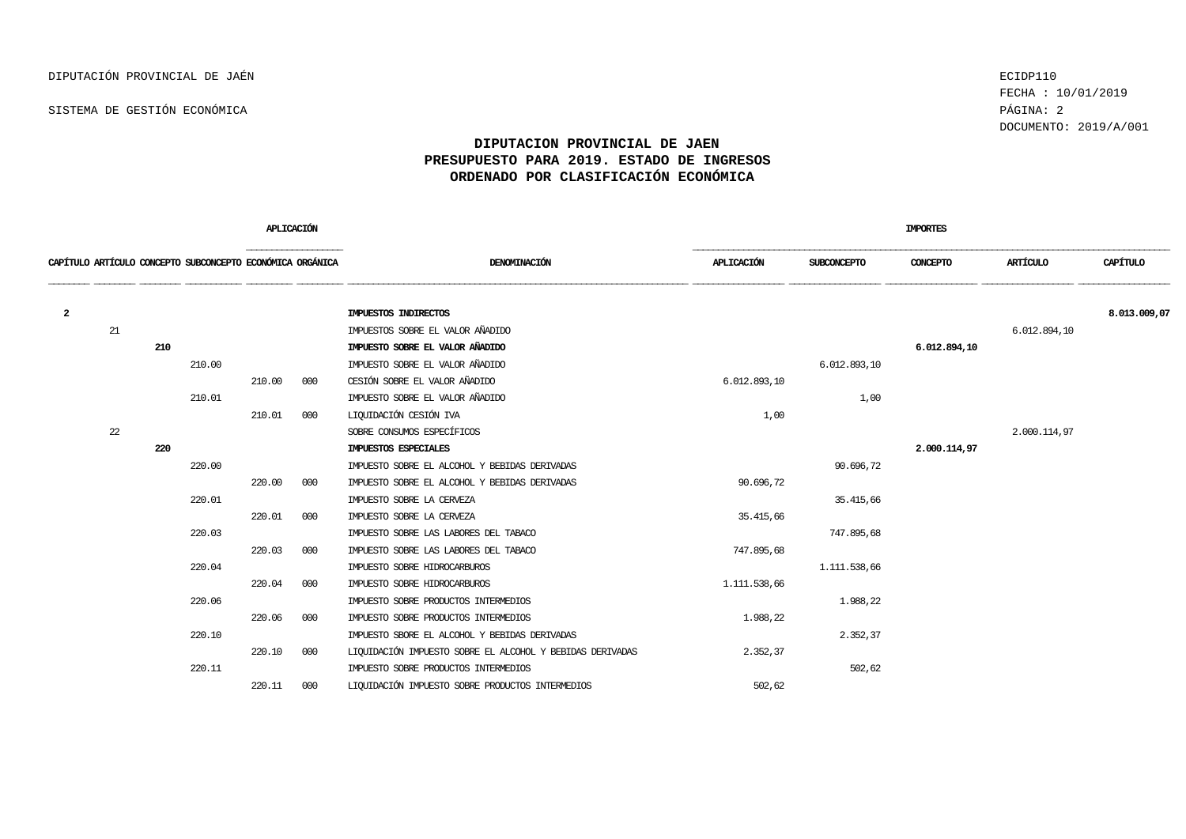FECHA : 10/01/2019 DOCUMENTO: 2019/A/001

|    |     |        |        |     |                                                                         |              |              | <b>IMPORTES</b> |              |              |
|----|-----|--------|--------|-----|-------------------------------------------------------------------------|--------------|--------------|-----------------|--------------|--------------|
|    |     |        |        |     | DENOMINACIÓN                                                            | APLICACIÓN   | SUBCONCEPTO  | CONCEPTO        | ARTÍCULO     | CAPÍTULO     |
|    |     |        |        |     | IMPUESTOS INDIRECTOS                                                    |              |              |                 |              | 8.013.009,07 |
| 21 |     |        |        |     | IMPUESTOS SOBRE EL VALOR AÑADIDO                                        |              |              |                 |              |              |
|    | 210 |        |        |     | IMPUESTO SOBRE EL VALOR AÑADIDO                                         |              |              | 6.012.894,10    |              |              |
|    |     | 210.00 |        |     | IMPUESTO SOBRE EL VALOR AÑADIDO                                         |              | 6.012.893,10 |                 |              |              |
|    |     |        | 210.00 | 000 | CESIÓN SOBRE EL VALOR AÑADIDO                                           | 6.012.893,10 |              |                 |              |              |
|    |     | 210.01 |        |     | IMPUESTO SOBRE EL VALOR AÑADIDO                                         |              | 1,00         |                 |              |              |
|    |     |        | 210.01 | 000 | LIQUIDACIÓN CESIÓN IVA                                                  | 1,00         |              |                 |              |              |
| 22 |     |        |        |     | SOBRE CONSUMOS ESPECÍFICOS                                              |              |              |                 | 2.000.114,97 |              |
|    | 220 |        |        |     | IMPUESTOS ESPECIALES                                                    |              |              | 2,000,114,97    |              |              |
|    |     | 220.00 |        |     | IMPUESTO SOBRE EL ALCOHOL Y BEBIDAS DERIVADAS                           |              | 90.696,72    |                 |              |              |
|    |     |        | 220.00 | 000 | IMPUESTO SOBRE EL ALCOHOL Y BEBIDAS DERIVADAS                           | 90.696,72    |              |                 |              |              |
|    |     | 220.01 |        |     | IMPUESTO SOBRE LA CERVEZA                                               |              | 35.415,66    |                 |              |              |
|    |     |        | 220.01 | 000 | IMPUESTO SOBRE LA CERVEZA                                               | 35.415,66    |              |                 |              |              |
|    |     | 220.03 |        |     | IMPUESTO SOBRE LAS LABORES DEL TABACO                                   |              | 747.895,68   |                 |              |              |
|    |     |        | 220.03 | 000 | IMPUESTO SOBRE LAS LABORES DEL TABACO                                   | 747.895,68   |              |                 |              |              |
|    |     | 220.04 |        |     | IMPUESTO SOBRE HIDROCARBUROS                                            |              | 1.111.538,66 |                 |              |              |
|    |     |        | 220.04 | 000 | IMPUESTO SOBRE HIDROCARBUROS                                            | 1.111.538,66 |              |                 |              |              |
|    |     | 220.06 |        |     | IMPUESTO SOBRE PRODUCTOS INTERMEDIOS                                    |              | 1.988,22     |                 |              |              |
|    |     |        | 220.06 | 000 | IMPUESTO SOBRE PRODUCTOS INTERMEDIOS                                    | 1.988,22     |              |                 |              |              |
|    |     | 220.10 |        |     | IMPUESTO SBORE EL ALCOHOL Y BEBIDAS DERIVADAS                           |              | 2.352,37     |                 |              |              |
|    |     |        | 220.10 | 000 | LIQUIDACIÓN IMPUESTO SOBRE EL ALCOHOL Y BEBIDAS DERIVADAS               | 2.352,37     |              |                 |              |              |
|    |     | 220.11 |        |     | IMPUESTO SOBRE PRODUCTOS INTERMEDIOS                                    |              | 502,62       |                 |              |              |
|    |     |        | 220.11 | 000 | LIQUIDACIÓN IMPUESTO SOBRE PRODUCTOS INTERMEDIOS                        | 502,62       |              |                 |              |              |
|    |     |        |        |     | APLICACIÓN<br>CAPÍTULO ARTÍCULO CONCEPTO SUBCONCEPTO ECONÓMICA ORGÁNICA |              |              |                 |              | 6.012.894,10 |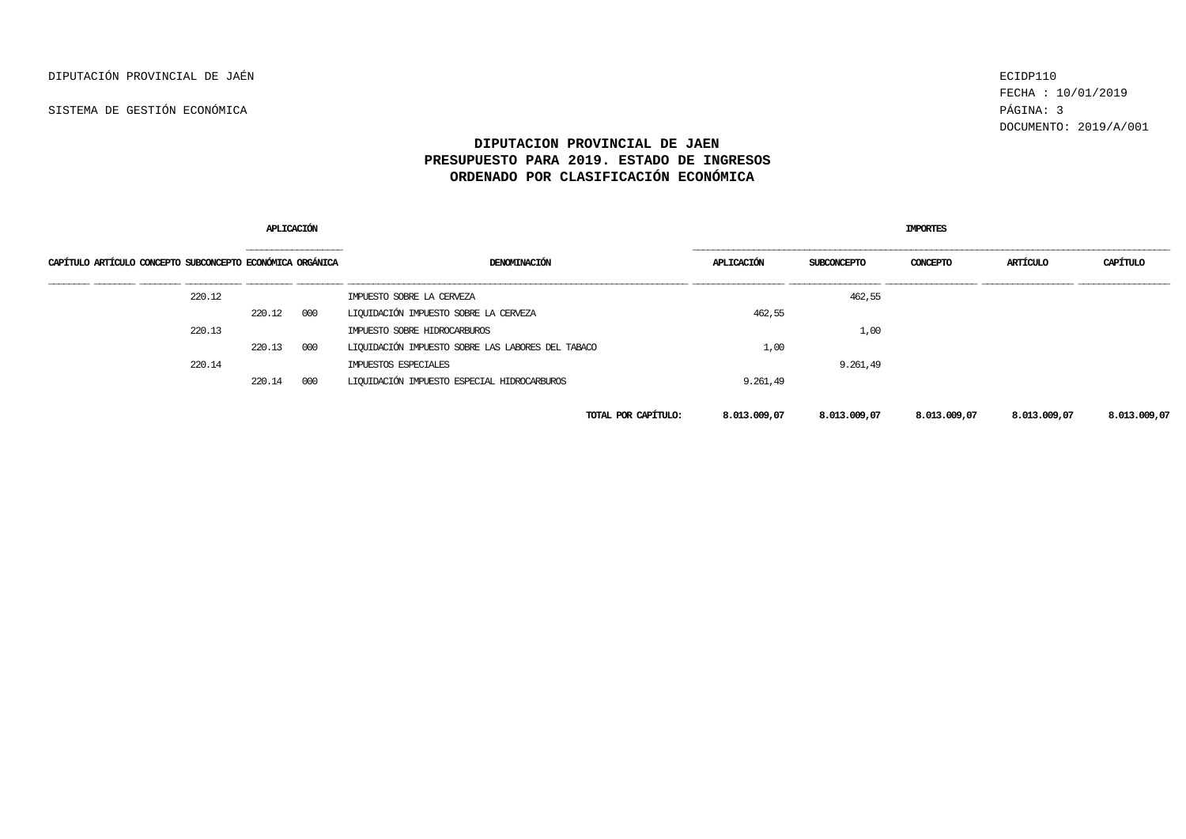FECHA : 10/01/2019 DOCUMENTO: 2019/A/001

|                                                           | APLICACIÓ |                    |                                                   | <b>IMPORTES</b>     |              |                    |              |              |              |  |
|-----------------------------------------------------------|-----------|--------------------|---------------------------------------------------|---------------------|--------------|--------------------|--------------|--------------|--------------|--|
| CAPÍTULO ARTÍCULO CONCEPTO SUBCONCEPTO ECONÓMICA ORGÁNICA |           | __________________ | DENOMINACIÓN                                      |                     | APLICACIÓN   | <b>SUBCONCEPTO</b> | CONCEPTO     | ARTÍCULO     | CAPÍTULO     |  |
| 220.12                                                    |           |                    | IMPUESTO SOBRE LA CERVEZA                         |                     |              | 462,55             |              |              |              |  |
|                                                           | 220.12    | 000                | LIQUIDACIÓN IMPUESTO SOBRE LA CERVEZA             |                     | 462,55       |                    |              |              |              |  |
| 220.13                                                    |           |                    | IMPUESTO SOBRE HIDROCARBUROS                      |                     |              | 1,00               |              |              |              |  |
|                                                           | 220.13    | 000                | LIQUIDACIÓN IMPUESTO SOBRE LAS LABORES DEL TABACO |                     | 1,00         |                    |              |              |              |  |
| 220.14                                                    |           |                    | IMPUESTOS ESPECIALES                              |                     |              | 9.261,49           |              |              |              |  |
|                                                           | 220.14    | 000                | LIQUIDACIÓN IMPUESTO ESPECIAL HIDROCARBUROS       |                     | 9.261,49     |                    |              |              |              |  |
|                                                           |           |                    |                                                   | TOTAL POR CAPÍTULO: | 8.013.009,07 | 8.013.009,07       | 8.013.009,07 | 8.013.009,07 | 8.013.009,07 |  |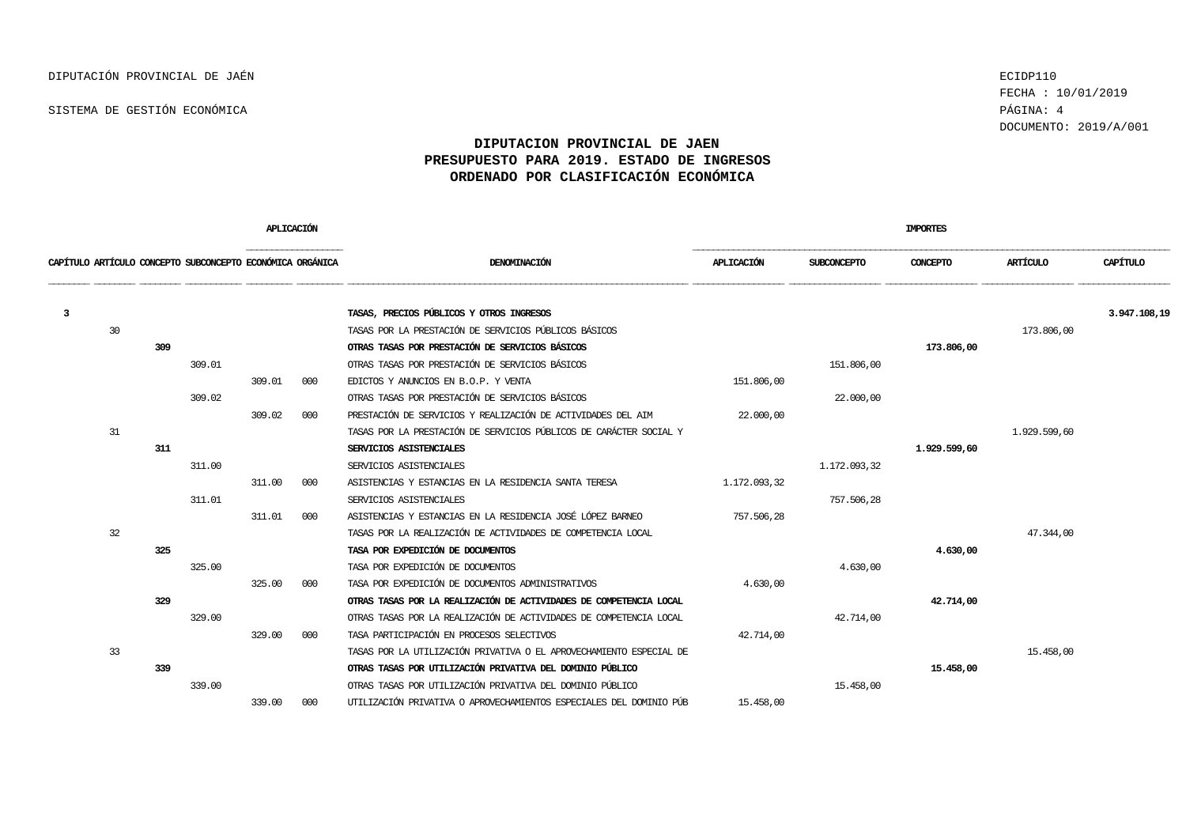FECHA : 10/01/2019 DOCUMENTO: 2019/A/001

|   |    |     |                                                           | APLICACIÓN |     | <b>IMPORTES</b>                                                     |                   |                    |              |              |              |  |
|---|----|-----|-----------------------------------------------------------|------------|-----|---------------------------------------------------------------------|-------------------|--------------------|--------------|--------------|--------------|--|
|   |    |     | CAPÍTULO ARTÍCULO CONCEPTO SUBCONCEPTO ECONÓMICA ORGÁNICA |            |     | DENOMINACIÓN                                                        | <b>APLICACIÓN</b> | <b>SUBCONCEPTO</b> | CONCEPTO     | ARTÍCULO     | CAPÍTULO     |  |
| 3 |    |     |                                                           |            |     | TASAS, PRECIOS PÚBLICOS Y OTROS INGRESOS                            |                   |                    |              |              | 3.947.108,19 |  |
|   | 30 |     |                                                           |            |     | TASAS POR LA PRESTACIÓN DE SERVICIOS PÚBLICOS BÁSICOS               |                   |                    |              | 173.806,00   |              |  |
|   |    | 309 |                                                           |            |     | OTRAS TASAS POR PRESTACIÓN DE SERVICIOS BÁSICOS                     |                   |                    | 173.806,00   |              |              |  |
|   |    |     | 309.01                                                    |            |     | OTRAS TASAS POR PRESTACIÓN DE SERVICIOS BÁSICOS                     |                   | 151,806,00         |              |              |              |  |
|   |    |     |                                                           | 309.01     | 000 | EDICTOS Y ANUNCIOS EN B.O.P. Y VENTA                                | 151.806,00        |                    |              |              |              |  |
|   |    |     | 309.02                                                    |            |     | OTRAS TASAS POR PRESTACIÓN DE SERVICIOS BÁSICOS                     |                   | 22.000,00          |              |              |              |  |
|   |    |     |                                                           | 309.02     | 000 | PRESTACIÓN DE SERVICIOS Y REALIZACIÓN DE ACTIVIDADES DEL AIM        | 22,000,00         |                    |              |              |              |  |
|   | 31 |     |                                                           |            |     | TASAS POR LA PRESTACIÓN DE SERVICIOS PÚBLICOS DE CARÁCTER SOCIAL Y  |                   |                    |              | 1.929.599,60 |              |  |
|   |    | 311 |                                                           |            |     | SERVICIOS ASISTENCIALES                                             |                   |                    | 1.929.599,60 |              |              |  |
|   |    |     | 311.00                                                    |            |     | SERVICIOS ASISTENCIALES                                             |                   | 1,172,093,32       |              |              |              |  |
|   |    |     |                                                           | 311.00     | 000 | ASISTENCIAS Y ESTANCIAS EN LA RESIDENCIA SANTA TERESA               | 1,172,093,32      |                    |              |              |              |  |
|   |    |     | 311.01                                                    |            |     | SERVICIOS ASISTENCIALES                                             |                   | 757.506.28         |              |              |              |  |
|   |    |     |                                                           | 311.01     | 000 | ASISTENCIAS Y ESTANCIAS EN LA RESIDENCIA JOSÉ LÓPEZ BARNEO          | 757.506.28        |                    |              |              |              |  |
|   | 32 |     |                                                           |            |     | TASAS POR LA REALIZACIÓN DE ACTIVIDADES DE COMPETENCIA LOCAL        |                   |                    |              | 47.344,00    |              |  |
|   |    | 325 |                                                           |            |     | TASA POR EXPEDICIÓN DE DOCUMENTOS                                   |                   |                    | 4.630,00     |              |              |  |
|   |    |     | 325.00                                                    |            |     | TASA POR EXPEDICIÓN DE DOCUMENTOS                                   |                   | 4,630,00           |              |              |              |  |
|   |    |     |                                                           | 325.00     | 000 | TASA POR EXPEDICIÓN DE DOCUMENTOS ADMINISTRATIVOS                   | 4,630,00          |                    |              |              |              |  |
|   |    | 329 |                                                           |            |     | OTRAS TASAS POR LA REALIZACIÓN DE ACTIVIDADES DE COMPETENCIA LOCAL  |                   |                    | 42.714,00    |              |              |  |
|   |    |     | 329.00                                                    |            |     | OTRAS TASAS POR LA REALIZACIÓN DE ACTIVIDADES DE COMPETENCIA LOCAL  |                   | 42,714,00          |              |              |              |  |
|   |    |     |                                                           | 329.00     | 000 | TASA PARTICIPACIÓN EN PROCESOS SELECTIVOS                           | 42.714,00         |                    |              |              |              |  |
|   | 33 |     |                                                           |            |     | TASAS POR LA UTILIZACIÓN PRIVATIVA O EL APROVECHAMIENTO ESPECIAL DE |                   |                    |              | 15.458,00    |              |  |
|   |    | 339 |                                                           |            |     | OTRAS TASAS POR UTILIZACIÓN PRIVATIVA DEL DOMINIO PÚBLICO           |                   |                    | 15.458,00    |              |              |  |
|   |    |     | 339.00                                                    |            |     | OTRAS TASAS POR UTILIZACIÓN PRIVATIVA DEL DOMINIO PÚBLICO           |                   | 15.458,00          |              |              |              |  |
|   |    |     |                                                           | 339.00     | 000 | UTILIZACIÓN PRIVATIVA O APROVECHAMIENTOS ESPECIALES DEL DOMINIO PÚB | 15.458,00         |                    |              |              |              |  |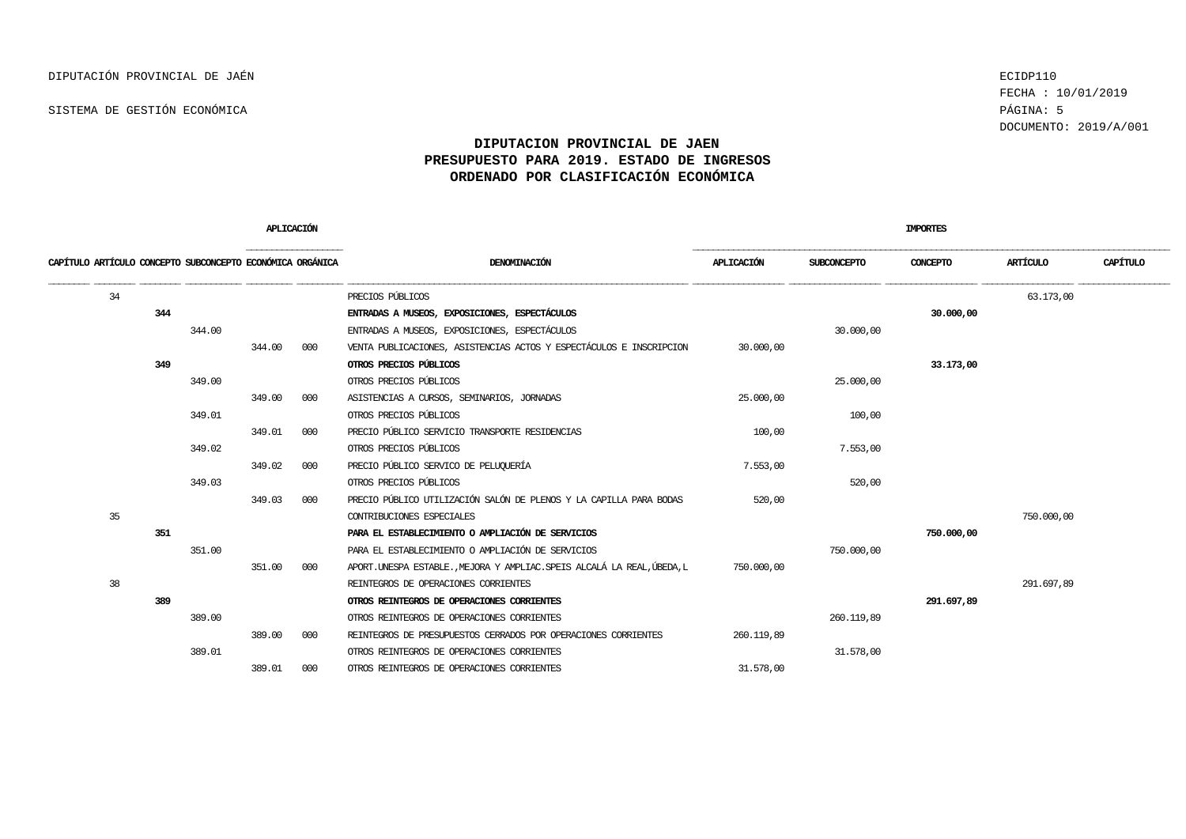FECHA : 10/01/2019 DOCUMENTO: 2019/A/001

| APLICACIÓN                                                |        |        | <b>IMPORTES</b> |                                                                           |            |                    |            |            |          |
|-----------------------------------------------------------|--------|--------|-----------------|---------------------------------------------------------------------------|------------|--------------------|------------|------------|----------|
| CAPÍTULO ARTÍCULO CONCEPTO SUBCONCEPTO ECONÓMICA ORGÁNICA |        |        |                 | DENOMINACIÓN                                                              | APLICACIÓN | <b>SUBCONCEPTO</b> | CONCEPTO   | ARTÍCULO   | CAPÍTULO |
| 34                                                        |        |        |                 | PRECIOS PÚBLICOS                                                          |            |                    |            | 63.173,00  |          |
| 344                                                       |        |        |                 | ENTRADAS A MUSEOS, EXPOSICIONES, ESPECTÁCULOS                             |            |                    | 30,000,00  |            |          |
|                                                           | 344.00 |        |                 | ENTRADAS A MUSEOS, EXPOSICIONES, ESPECTÁCULOS                             |            | 30,000,00          |            |            |          |
|                                                           |        | 344.00 | 000             | VENTA PUBLICACIONES, ASISTENCIAS ACTOS Y ESPECTÁCULOS E INSCRIPCION       | 30,000,00  |                    |            |            |          |
| 349                                                       |        |        |                 | OTROS PRECIOS PÚBLICOS                                                    |            |                    | 33.173,00  |            |          |
|                                                           | 349.00 |        |                 | OTROS PRECIOS PÚBLICOS                                                    |            | 25,000,00          |            |            |          |
|                                                           |        | 349.00 | 000             | ASISTENCIAS A CURSOS, SEMINARIOS, JORNADAS                                | 25,000,00  |                    |            |            |          |
|                                                           | 349.01 |        |                 | OTROS PRECIOS PÚBLICOS                                                    |            | 100,00             |            |            |          |
|                                                           |        | 349.01 | 000             | PRECIO PÚBLICO SERVICIO TRANSPORTE RESIDENCIAS                            | 100,00     |                    |            |            |          |
|                                                           | 349.02 |        |                 | OTROS PRECIOS PÚBLICOS                                                    |            | 7.553,00           |            |            |          |
|                                                           |        | 349.02 | 000             | PRECIO PÚBLICO SERVICO DE PELUQUERÍA                                      | 7.553,00   |                    |            |            |          |
|                                                           | 349.03 |        |                 | OTROS PRECIOS PÚBLICOS                                                    |            | 520,00             |            |            |          |
|                                                           |        | 349.03 | 000             | PRECIO PÚBLICO UTILIZACIÓN SALÓN DE PLENOS Y LA CAPILLA PARA BODAS        | 520,00     |                    |            |            |          |
| 35                                                        |        |        |                 | CONTRIBUCIONES ESPECIALES                                                 |            |                    |            | 750,000,00 |          |
| 351                                                       |        |        |                 | PARA EL ESTABLECIMIENTO O AMPLIACIÓN DE SERVICIOS                         |            |                    | 750,000,00 |            |          |
|                                                           | 351.00 |        |                 | PARA EL ESTABLECIMIENTO O AMPLIACIÓN DE SERVICIOS                         |            | 750,000,00         |            |            |          |
|                                                           |        | 351.00 | 000             | APORT. UNESPA ESTABLE. , MEJORA Y AMPLIAC. SPEIS ALCALÁ LA REAL, ÚBEDA, L | 750.000,00 |                    |            |            |          |
| 38                                                        |        |        |                 | REINTEGROS DE OPERACIONES CORRIENTES                                      |            |                    |            | 291.697,89 |          |
| 389                                                       |        |        |                 | OTROS REINTEGROS DE OPERACIONES CORRIENTES                                |            |                    | 291.697,89 |            |          |
|                                                           | 389.00 |        |                 | OTROS REINTEGROS DE OPERACIONES CORRIENTES                                |            | 260.119,89         |            |            |          |
|                                                           |        | 389.00 | 000             | REINTEGROS DE PRESUPUESTOS CERRADOS POR OPERACIONES CORRIENTES            | 260.119,89 |                    |            |            |          |
|                                                           | 389.01 |        |                 | OTROS REINTEGROS DE OPERACIONES CORRIENTES                                |            | 31,578,00          |            |            |          |
|                                                           |        | 389.01 | 000             | OTROS REINTEGROS DE OPERACIONES CORRIENTES                                | 31,578,00  |                    |            |            |          |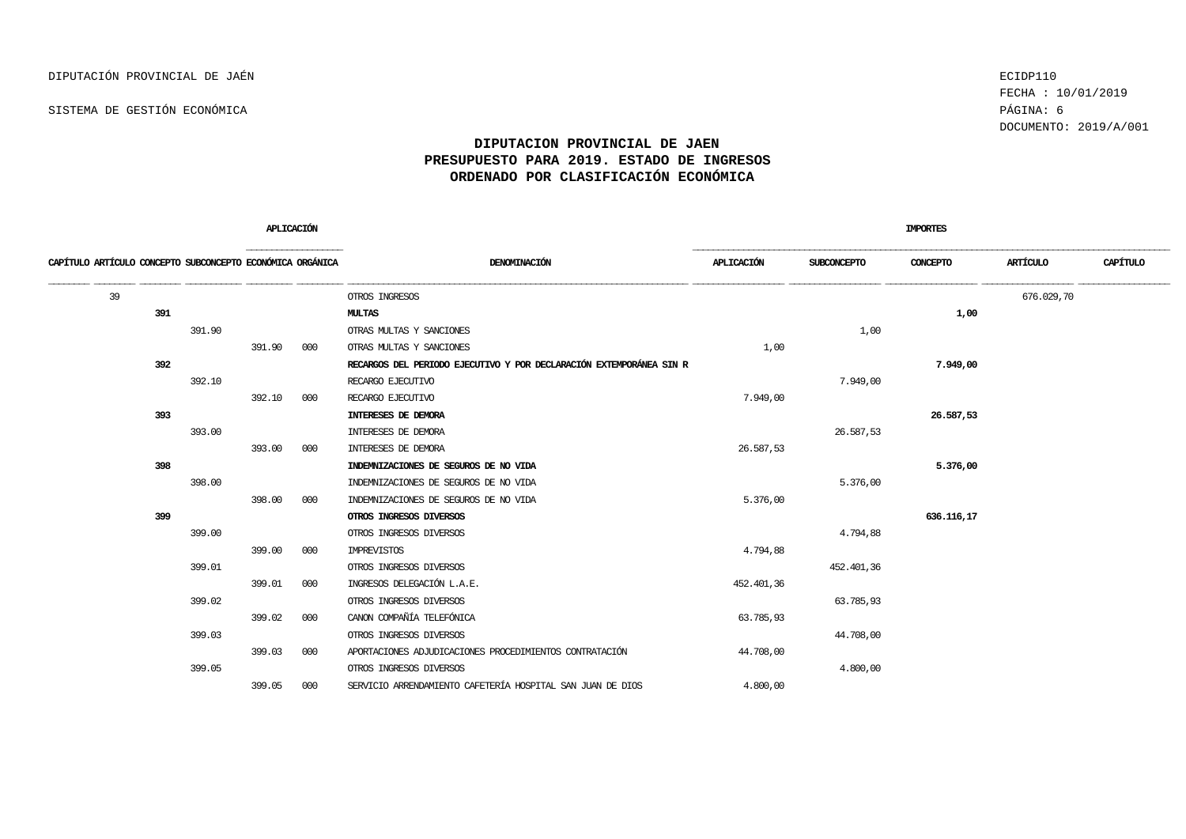FECHA : 10/01/2019 DOCUMENTO: 2019/A/001

|                                                           | APLICACIÓN |        |     | IMPORTES                                                            |            |             |            |            |          |
|-----------------------------------------------------------|------------|--------|-----|---------------------------------------------------------------------|------------|-------------|------------|------------|----------|
| CAPÍTULO ARTÍCULO CONCEPTO SUBCONCEPTO ECONÓMICA ORGÁNICA |            |        |     | DENOMINACIÓN                                                        | APLICACIÓN | SUBCONCEPTO | CONCEPTO   | ARTÍCULO   | CAPÍTULO |
| 39                                                        |            |        |     | OTROS INGRESOS                                                      |            |             |            | 676.029,70 |          |
| 391                                                       |            |        |     | MULTAS                                                              |            |             | 1,00       |            |          |
|                                                           | 391.90     |        |     | OTRAS MULTAS Y SANCIONES                                            |            | 1,00        |            |            |          |
|                                                           |            | 391.90 | 000 | OTRAS MULTAS Y SANCIONES                                            | 1,00       |             |            |            |          |
| 392                                                       |            |        |     | RECARGOS DEL PERIODO EJECUTIVO Y POR DECLARACIÓN EXTEMPORÁNEA SIN R |            |             | 7.949,00   |            |          |
|                                                           | 392.10     |        |     | RECARGO EJECUTIVO                                                   |            | 7.949,00    |            |            |          |
|                                                           |            | 392.10 | 000 | RECARGO EJECUTIVO                                                   | 7.949,00   |             |            |            |          |
| 393                                                       |            |        |     | INTERESES DE DEMORA                                                 |            |             | 26.587,53  |            |          |
|                                                           | 393.00     |        |     | INTERESES DE DEMORA                                                 |            | 26.587,53   |            |            |          |
|                                                           |            | 393.00 | 000 | INTERESES DE DEMORA                                                 | 26.587,53  |             |            |            |          |
| 398                                                       |            |        |     | INDEMNIZACIONES DE SEGUROS DE NO VIDA                               |            |             | 5.376,00   |            |          |
|                                                           | 398.00     |        |     | INDEMNIZACIONES DE SEGUROS DE NO VIDA                               |            | 5.376,00    |            |            |          |
|                                                           |            | 398.00 | 000 | INDEMNIZACIONES DE SEGUROS DE NO VIDA                               | 5.376,00   |             |            |            |          |
| 399                                                       |            |        |     | OTROS INGRESOS DIVERSOS                                             |            |             | 636.116,17 |            |          |
|                                                           | 399.00     |        |     | OTROS INGRESOS DIVERSOS                                             |            | 4.794,88    |            |            |          |
|                                                           |            | 399.00 | 000 | IMPREVISTOS                                                         | 4.794,88   |             |            |            |          |
|                                                           | 399.01     |        |     | OTROS INGRESOS DIVERSOS                                             |            | 452.401,36  |            |            |          |
|                                                           |            | 399.01 | 000 | INGRESOS DELEGACIÓN L.A.E.                                          | 452.401,36 |             |            |            |          |
|                                                           | 399.02     |        |     | OTROS INGRESOS DIVERSOS                                             |            | 63.785,93   |            |            |          |
|                                                           |            | 399.02 | 000 | CANON COMPAÑÍA TELEFÓNICA                                           | 63.785,93  |             |            |            |          |
|                                                           | 399.03     |        |     | OTROS INGRESOS DIVERSOS                                             |            | 44.708,00   |            |            |          |
|                                                           |            | 399.03 | 000 | APORTACIONES ADJUDICACIONES PROCEDIMIENTOS CONTRATACIÓN             | 44.708,00  |             |            |            |          |
|                                                           | 399.05     |        |     | OTROS INGRESOS DIVERSOS                                             |            | 4,800,00    |            |            |          |
|                                                           |            | 399.05 | 000 | SERVICIO ARRENDAMIENTO CAFETERÍA HOSPITAL SAN JUAN DE DIOS          | 4.800,00   |             |            |            |          |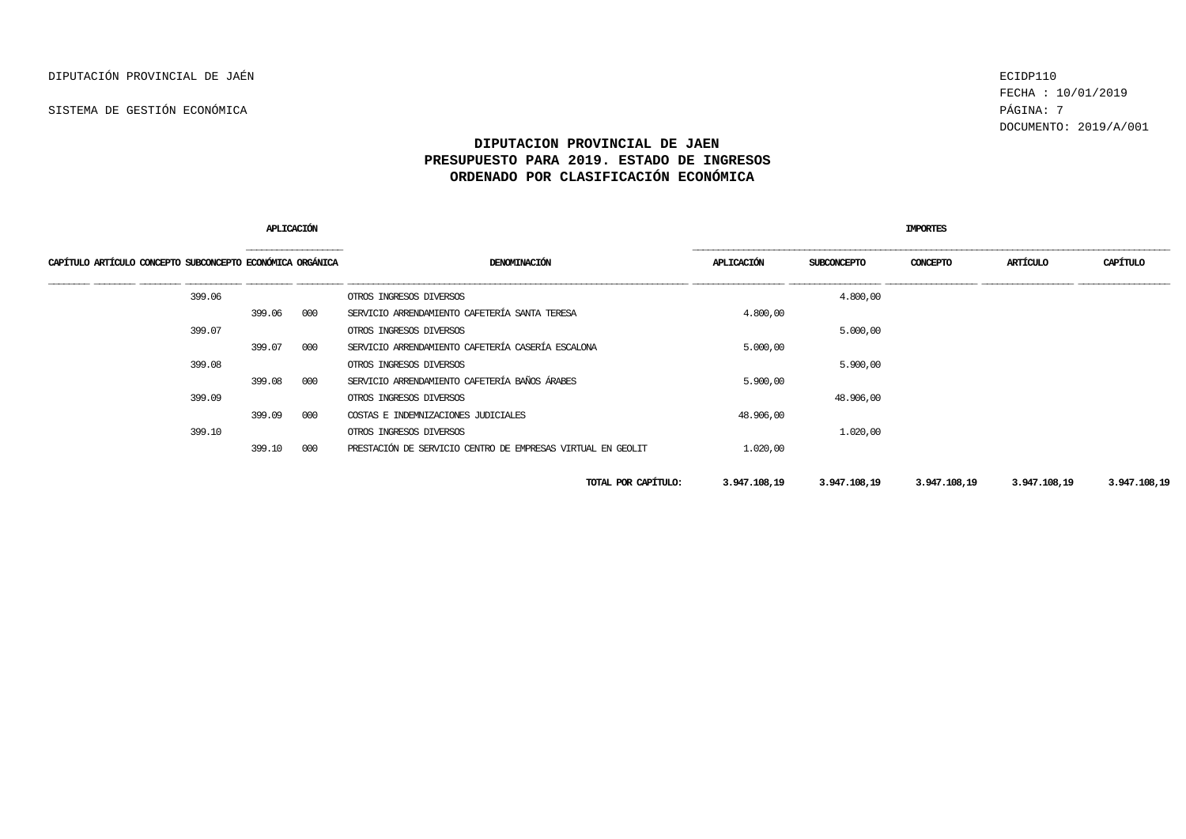FECHA : 10/01/2019 DOCUMENTO: 2019/A/001

|                                                           | APLICACIÓN                                                                                                                                                                                                                    |     |                                                             | <b>IMPORTES</b> |              |              |              |              |  |  |
|-----------------------------------------------------------|-------------------------------------------------------------------------------------------------------------------------------------------------------------------------------------------------------------------------------|-----|-------------------------------------------------------------|-----------------|--------------|--------------|--------------|--------------|--|--|
| CAPÍTULO ARTÍCULO CONCEPTO SUBCONCEPTO ECONÓMICA ORGÁNICA | the control of the control of the control of the control of the control of the control of the control of the control of the control of the control of the control of the control of the control of the control of the control |     | DENOMINACIÓN                                                | APLICACIÓN      | SUBCONCEPTO  | CONCEPTO     | ARTÍCULO     | CAPÍTULO     |  |  |
| 399.06                                                    |                                                                                                                                                                                                                               |     | OTROS INGRESOS DIVERSOS                                     |                 | 4,800,00     |              |              |              |  |  |
|                                                           | 399.06                                                                                                                                                                                                                        | 000 | SERVICIO ARRENDAMIENTO CAFETERÍA SANTA TERESA               | 4,800,00        |              |              |              |              |  |  |
| 399.07                                                    |                                                                                                                                                                                                                               |     | OTROS INGRESOS DIVERSOS                                     |                 | 5.000,00     |              |              |              |  |  |
|                                                           | 399.07                                                                                                                                                                                                                        | 000 | SERVICIO ARRENDAMIENTO CAFETERÍA CASERÍA ESCALONA           | 5.000,00        |              |              |              |              |  |  |
| 399.08                                                    |                                                                                                                                                                                                                               |     | OTROS INGRESOS DIVERSOS                                     |                 | 5.900,00     |              |              |              |  |  |
|                                                           | 399.08                                                                                                                                                                                                                        | 000 | SERVICIO ARRENDAMIENTO CAFETERÍA BAÑOS ÁRABES               | 5.900,00        |              |              |              |              |  |  |
| 399.09                                                    |                                                                                                                                                                                                                               |     | OTROS INGRESOS DIVERSOS                                     |                 | 48.906,00    |              |              |              |  |  |
|                                                           | 399.09                                                                                                                                                                                                                        | 000 | COSTAS E INDEMNIZACIONES JUDICIALES                         | 48.906,00       |              |              |              |              |  |  |
| 399.10                                                    |                                                                                                                                                                                                                               |     | OTROS INGRESOS DIVERSOS                                     |                 | 1,020,00     |              |              |              |  |  |
|                                                           | 399.10                                                                                                                                                                                                                        | 000 | PRESTACIÓN DE SERVICIO CENTRO DE EMPRESAS VIRTUAL EN GEOLIT | 1.020,00        |              |              |              |              |  |  |
|                                                           |                                                                                                                                                                                                                               |     | TOTAL POR CAPÍTULO:                                         | 3.947.108,19    | 3.947.108,19 | 3.947.108,19 | 3.947.108,19 | 3.947.108,19 |  |  |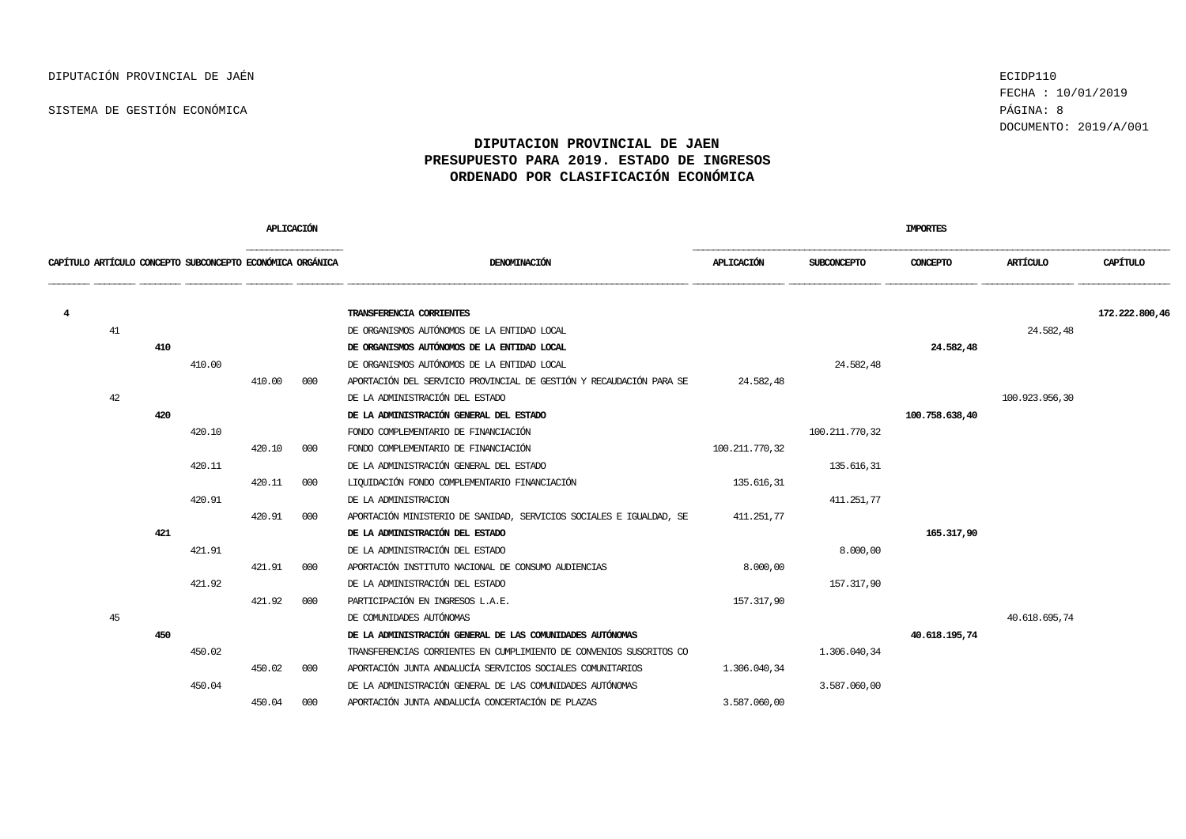FECHA : 10/01/2019 DOCUMENTO: 2019/A/001

|                |    |                                                           | APLICACIÓN |        |     | <b>IMPORTES</b>                                                     |                   |                    |                |                |                |  |
|----------------|----|-----------------------------------------------------------|------------|--------|-----|---------------------------------------------------------------------|-------------------|--------------------|----------------|----------------|----------------|--|
|                |    | CAPÍTULO ARTÍCULO CONCEPTO SUBCONCEPTO ECONÓMICA ORGÁNICA |            |        |     | DENOMINACIÓN                                                        | <b>APLICACIÓN</b> | <b>SUBCONCEPTO</b> | CONCEPTO       | ARTÍCULO       | CAPÍTULO       |  |
| $\overline{4}$ |    |                                                           |            |        |     | TRANSFERENCIA CORRIENTES                                            |                   |                    |                |                | 172.222.800,46 |  |
|                | 41 |                                                           |            |        |     | DE ORGANISMOS AUTÓNOMOS DE LA ENTIDAD LOCAL                         |                   |                    |                | 24.582,48      |                |  |
|                |    | 410                                                       |            |        |     | DE ORGANISMOS AUTÓNOMOS DE LA ENTIDAD LOCAL                         |                   |                    | 24.582,48      |                |                |  |
|                |    |                                                           | 410.00     |        |     | DE ORGANISMOS AUTÓNOMOS DE LA ENTIDAD LOCAL                         |                   | 24.582,48          |                |                |                |  |
|                |    |                                                           |            | 410.00 | 000 | APORTACIÓN DEL SERVICIO PROVINCIAL DE GESTIÓN Y RECAUDACIÓN PARA SE | 24.582,48         |                    |                |                |                |  |
|                | 42 |                                                           |            |        |     | DE LA ADMINISTRACIÓN DEL ESTADO                                     |                   |                    |                | 100.923.956,30 |                |  |
|                |    | 420                                                       |            |        |     | DE LA ADMINISTRACIÓN GENERAL DEL ESTADO                             |                   |                    | 100.758.638,40 |                |                |  |
|                |    |                                                           | 420.10     |        |     | FONDO COMPLEMENTARIO DE FINANCIACIÓN                                |                   | 100.211.770,32     |                |                |                |  |
|                |    |                                                           |            | 420.10 | 000 | FONDO COMPLEMENTARIO DE FINANCIACIÓN                                | 100.211.770,32    |                    |                |                |                |  |
|                |    |                                                           | 420.11     |        |     | DE LA ADMINISTRACIÓN GENERAL DEL ESTADO                             |                   | 135.616,31         |                |                |                |  |
|                |    |                                                           |            | 420.11 | 000 | LIQUIDACIÓN FONDO COMPLEMENTARIO FINANCIACIÓN                       | 135.616,31        |                    |                |                |                |  |
|                |    |                                                           | 420.91     |        |     | DE LA ADMINISTRACION                                                |                   | 411.251.77         |                |                |                |  |
|                |    |                                                           |            | 420.91 | 000 | APORTACIÓN MINISTERIO DE SANIDAD, SERVICIOS SOCIALES E IGUALDAD, SE | 411.251,77        |                    |                |                |                |  |
|                |    | 421                                                       |            |        |     | DE LA ADMINISTRACIÓN DEL ESTADO                                     |                   |                    | 165.317,90     |                |                |  |
|                |    |                                                           | 421.91     |        |     | DE LA ADMINISTRACIÓN DEL ESTADO                                     |                   | 8.000,00           |                |                |                |  |
|                |    |                                                           |            | 421.91 | 000 | APORTACIÓN INSTITUTO NACIONAL DE CONSUMO AUDIENCIAS                 | 8.000,00          |                    |                |                |                |  |
|                |    |                                                           | 421.92     |        |     | DE LA ADMINISTRACIÓN DEL ESTADO                                     |                   | 157.317,90         |                |                |                |  |
|                |    |                                                           |            | 421.92 | 000 | PARTICIPACIÓN EN INGRESOS L.A.E.                                    | 157.317,90        |                    |                |                |                |  |
|                | 45 |                                                           |            |        |     | DE COMUNIDADES AUTÓNOMAS                                            |                   |                    |                | 40.618.695,74  |                |  |
|                |    | 450                                                       |            |        |     | DE LA ADMINISTRACIÓN GENERAL DE LAS COMUNIDADES AUTÓNOMAS           |                   |                    | 40.618.195,74  |                |                |  |
|                |    |                                                           | 450.02     |        |     | TRANSFERENCIAS CORRIENTES EN CUMPLIMIENTO DE CONVENIOS SUSCRITOS CO |                   | 1,306,040,34       |                |                |                |  |
|                |    |                                                           |            | 450.02 | 000 | APORTACIÓN JUNTA ANDALUCÍA SERVICIOS SOCIALES COMUNITARIOS          | 1,306,040,34      |                    |                |                |                |  |
|                |    |                                                           | 450.04     |        |     | DE LA ADMINISTRACIÓN GENERAL DE LAS COMUNIDADES AUTÓNOMAS           |                   | 3.587.060,00       |                |                |                |  |
|                |    |                                                           |            | 450.04 | 000 | APORTACIÓN JUNTA ANDALUCÍA CONCERTACIÓN DE PLAZAS                   | 3.587.060,00      |                    |                |                |                |  |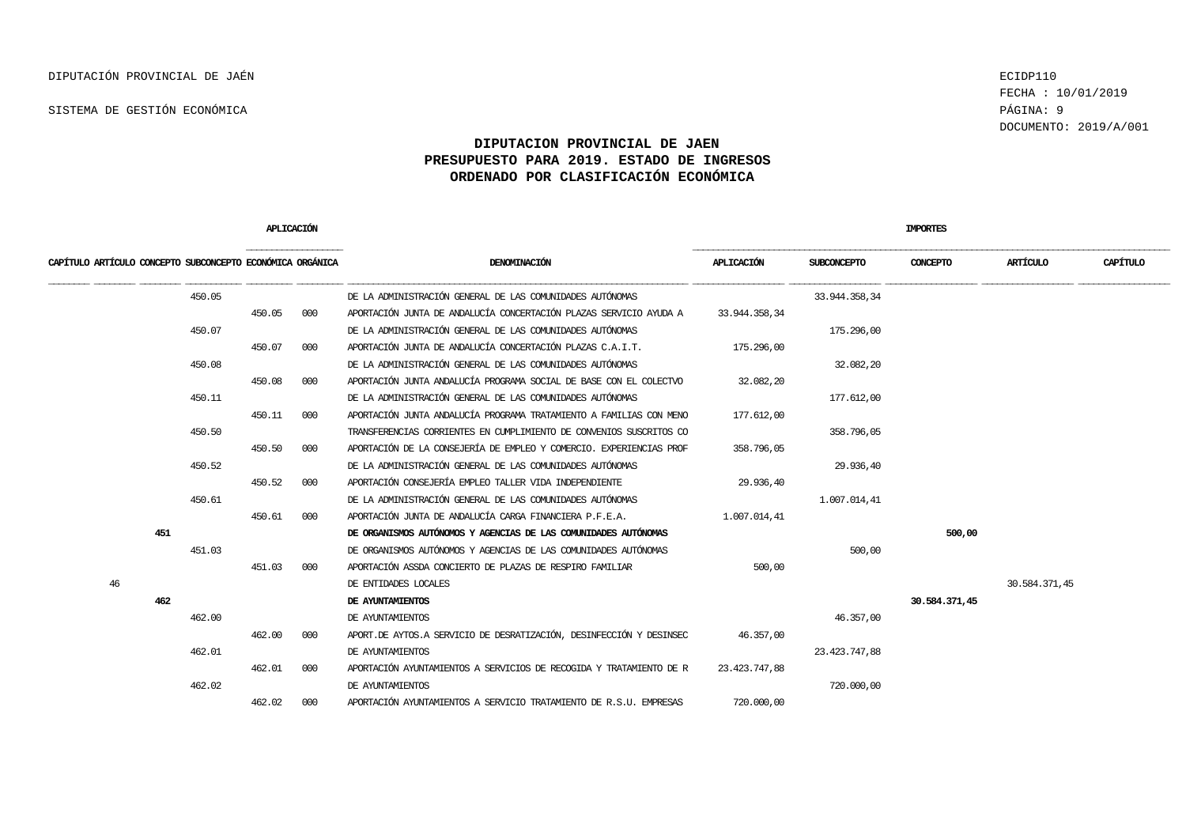FECHA : 10/01/2019 DOCUMENTO: 2019/A/001

|                                                           | APLICACIÓN |     |                                                                       |               |                    | <b>IMPORTES</b> |               |          |
|-----------------------------------------------------------|------------|-----|-----------------------------------------------------------------------|---------------|--------------------|-----------------|---------------|----------|
| CAPÍTULO ARTÍCULO CONCEPTO SUBCONCEPTO ECONÓMICA ORGÁNICA |            |     | DENOMINACIÓN                                                          | APLICACIÓN    | <b>SUBCONCEPTO</b> | CONCEPTO        | ARTÍCULO      | CAPÍTULO |
| 450.05                                                    |            |     | DE LA ADMINISTRACIÓN GENERAL DE LAS COMUNIDADES AUTÓNOMAS             |               | 33.944.358,34      |                 |               |          |
|                                                           | 450.05     | 000 | APORTACIÓN JUNTA DE ANDALUCÍA CONCERTACIÓN PLAZAS SERVICIO AYUDA A    | 33.944.358,34 |                    |                 |               |          |
| 450.07                                                    |            |     | DE LA ADMINISTRACIÓN GENERAL DE LAS COMUNIDADES AUTÓNOMAS             |               | 175.296,00         |                 |               |          |
|                                                           | 450.07     | 000 | APORTACIÓN JUNTA DE ANDALUCÍA CONCERTACIÓN PLAZAS C.A.I.T.            | 175.296,00    |                    |                 |               |          |
| 450.08                                                    |            |     | DE LA ADMINISTRACIÓN GENERAL DE LAS COMUNIDADES AUTÓNOMAS             |               | 32.082,20          |                 |               |          |
|                                                           | 450.08     | 000 | APORTACIÓN JUNTA ANDALUCÍA PROGRAMA SOCIAL DE BASE CON EL COLECTVO    | 32.082,20     |                    |                 |               |          |
| 450.11                                                    |            |     | DE LA ADMINISTRACIÓN GENERAL DE LAS COMUNIDADES AUTÓNOMAS             |               | 177.612,00         |                 |               |          |
|                                                           | 450.11     | 000 | APORTACIÓN JUNTA ANDALUCÍA PROGRAMA TRATAMIENTO A FAMILIAS CON MENO   | 177.612,00    |                    |                 |               |          |
| 450.50                                                    |            |     | TRANSFERENCIAS CORRIENTES EN CUMPLIMIENTO DE CONVENIOS SUSCRITOS CO   |               | 358.796,05         |                 |               |          |
|                                                           | 450.50     | 000 | APORTACIÓN DE LA CONSEJERÍA DE EMPLEO Y COMERCIO. EXPERIENCIAS PROF   | 358.796,05    |                    |                 |               |          |
| 450.52                                                    |            |     | DE LA ADMINISTRACIÓN GENERAL DE LAS COMUNIDADES AUTÓNOMAS             |               | 29.936,40          |                 |               |          |
|                                                           | 450.52     | 000 | APORTACIÓN CONSEJERÍA EMPLEO TALLER VIDA INDEPENDIENTE                | 29.936,40     |                    |                 |               |          |
| 450.61                                                    |            |     | DE LA ADMINISTRACIÓN GENERAL DE LAS COMUNIDADES AUTÓNOMAS             |               | 1.007.014,41       |                 |               |          |
|                                                           | 450.61     | 000 | APORTACIÓN JUNTA DE ANDALUCÍA CARGA FINANCIERA P.F.E.A.               | 1.007.014.41  |                    |                 |               |          |
| 451                                                       |            |     | DE ORGANISMOS AUTÓNOMOS Y AGENCIAS DE LAS COMUNIDADES AUTÓNOMAS       |               |                    | 500,00          |               |          |
| 451.03                                                    |            |     | DE ORGANISMOS AUTÓNOMOS Y AGENCIAS DE LAS COMUNIDADES AUTÓNOMAS       |               | 500,00             |                 |               |          |
|                                                           | 451.03     | 000 | APORTACIÓN ASSDA CONCIERTO DE PLAZAS DE RESPIRO FAMILIAR              | 500,00        |                    |                 |               |          |
| 46                                                        |            |     | DE ENTIDADES LOCALES                                                  |               |                    |                 | 30.584.371,45 |          |
| 462                                                       |            |     | DE AYUNTAMIENTOS                                                      |               |                    | 30.584.371,45   |               |          |
| 462.00                                                    |            |     | DE AYUNTAMIENTOS                                                      |               | 46.357,00          |                 |               |          |
|                                                           | 462.00     | 000 | APORT. DE AYTOS. A SERVICIO DE DESRATIZACIÓN, DESINFECCIÓN Y DESINSEC | 46.357,00     |                    |                 |               |          |
| 462.01                                                    |            |     | DE AYUNTAMIENTOS                                                      |               | 23.423.747,88      |                 |               |          |
|                                                           | 462.01     | 000 | APORTACIÓN AYUNTAMIENTOS A SERVICIOS DE RECOGIDA Y TRATAMIENTO DE R   | 23.423.747,88 |                    |                 |               |          |
| 462.02                                                    |            |     | DE AYUNTAMIENTOS                                                      |               | 720,000,00         |                 |               |          |
|                                                           | 462.02     | 000 | APORTACIÓN AYUNTAMIENTOS A SERVICIO TRATAMIENTO DE R.S.U. EMPRESAS    | 720,000,00    |                    |                 |               |          |
|                                                           |            |     |                                                                       |               |                    |                 |               |          |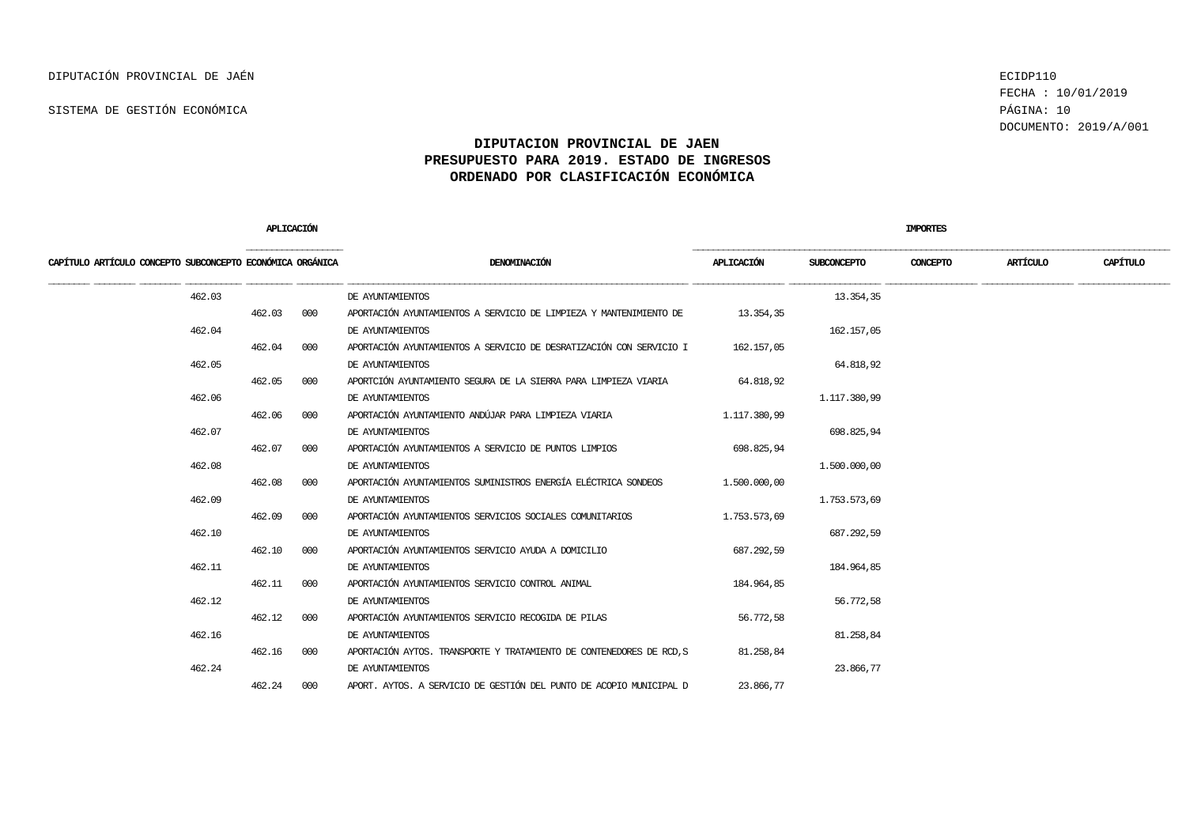FECHA : 10/01/2019 DOCUMENTO: 2019/A/001

|                                                           | <b>APLICACIÓN</b> |     |                                                                      |              |              | <b>IMPORTES</b> |          |          |
|-----------------------------------------------------------|-------------------|-----|----------------------------------------------------------------------|--------------|--------------|-----------------|----------|----------|
| CAPÍTULO ARTÍCULO CONCEPTO SUBCONCEPTO ECONÓMICA ORGÁNICA |                   |     | DENOMINACIÓN                                                         | APLICACIÓN   | SUBCONCEPTO  | CONCEPTO        | ARTÍCULO | CAPÍTULO |
| 462.03                                                    |                   |     | DE AYUNTAMIENTOS                                                     |              | 13.354,35    |                 |          |          |
|                                                           | 462.03            | 000 | APORTACIÓN AYUNTAMIENTOS A SERVICIO DE LIMPIEZA Y MANTENIMIENTO DE   | 13.354,35    |              |                 |          |          |
| 462.04                                                    |                   |     | DE AYUNTAMIENTOS                                                     |              | 162.157,05   |                 |          |          |
|                                                           | 462.04            | 000 | APORTACIÓN AYUNTAMIENTOS A SERVICIO DE DESRATIZACIÓN CON SERVICIO I  | 162.157,05   |              |                 |          |          |
| 462.05                                                    |                   |     | DE AYUNTAMIENTOS                                                     |              | 64.818,92    |                 |          |          |
|                                                           | 462.05            | 000 | APORTCIÓN AYUNTAMIENTO SEGURA DE LA SIERRA PARA LIMPIEZA VIARIA      | 64.818,92    |              |                 |          |          |
| 462.06                                                    |                   |     | DE AYUNTAMIENTOS                                                     |              | 1,117,380,99 |                 |          |          |
|                                                           | 462.06            | 000 | APORTACIÓN AYUNTAMIENTO ANDÚJAR PARA LIMPIEZA VIARIA                 | 1,117,380,99 |              |                 |          |          |
| 462.07                                                    |                   |     | DE AYUNTAMIENTOS                                                     |              | 698.825,94   |                 |          |          |
|                                                           | 462.07            | 000 | APORTACIÓN AYUNTAMIENTOS A SERVICIO DE PUNTOS LIMPIOS                | 698.825,94   |              |                 |          |          |
| 462.08                                                    |                   |     | DE AYUNTAMIENTOS                                                     |              | 1,500,000,00 |                 |          |          |
|                                                           | 462.08            | 000 | APORTACIÓN AYUNTAMIENTOS SUMINISTROS ENERGÍA ELÉCTRICA SONDEOS       | 1,500,000,00 |              |                 |          |          |
| 462.09                                                    |                   |     | DE AYUNTAMIENTOS                                                     |              | 1,753,573,69 |                 |          |          |
|                                                           | 462.09            | 000 | APORTACIÓN AYUNTAMIENTOS SERVICIOS SOCIALES COMUNITARIOS             | 1,753,573,69 |              |                 |          |          |
| 462.10                                                    |                   |     | DE AYUNTAMIENTOS                                                     |              | 687.292,59   |                 |          |          |
|                                                           | 462.10            | 000 | APORTACIÓN AYUNTAMIENTOS SERVICIO AYUDA A DOMICILIO                  | 687.292,59   |              |                 |          |          |
| 462.11                                                    |                   |     | DE AYUNTAMIENTOS                                                     |              | 184.964,85   |                 |          |          |
|                                                           | 462.11            | 000 | APORTACIÓN AYUNTAMIENTOS SERVICIO CONTROL ANIMAL                     | 184.964,85   |              |                 |          |          |
| 462.12                                                    |                   |     | DE AYUNTAMIENTOS                                                     |              | 56,772,58    |                 |          |          |
|                                                           | 462.12            | 000 | APORTACIÓN AYUNTAMIENTOS SERVICIO RECOGIDA DE PILAS                  | 56.772,58    |              |                 |          |          |
| 462.16                                                    |                   |     | DE AYUNTAMIENTOS                                                     |              | 81.258,84    |                 |          |          |
|                                                           | 462.16            | 000 | APORTACIÓN AYTOS. TRANSPORTE Y TRATAMIENTO DE CONTENEDORES DE RCD, S | 81.258,84    |              |                 |          |          |
| 462.24                                                    |                   |     | DE AYUNTAMIENTOS                                                     |              | 23.866,77    |                 |          |          |
|                                                           | 462.24            | 000 | APORT, AYTOS, A SERVICIO DE GESTIÓN DEL PUNTO DE ACOPIO MUNICIPAL D  | 23.866,77    |              |                 |          |          |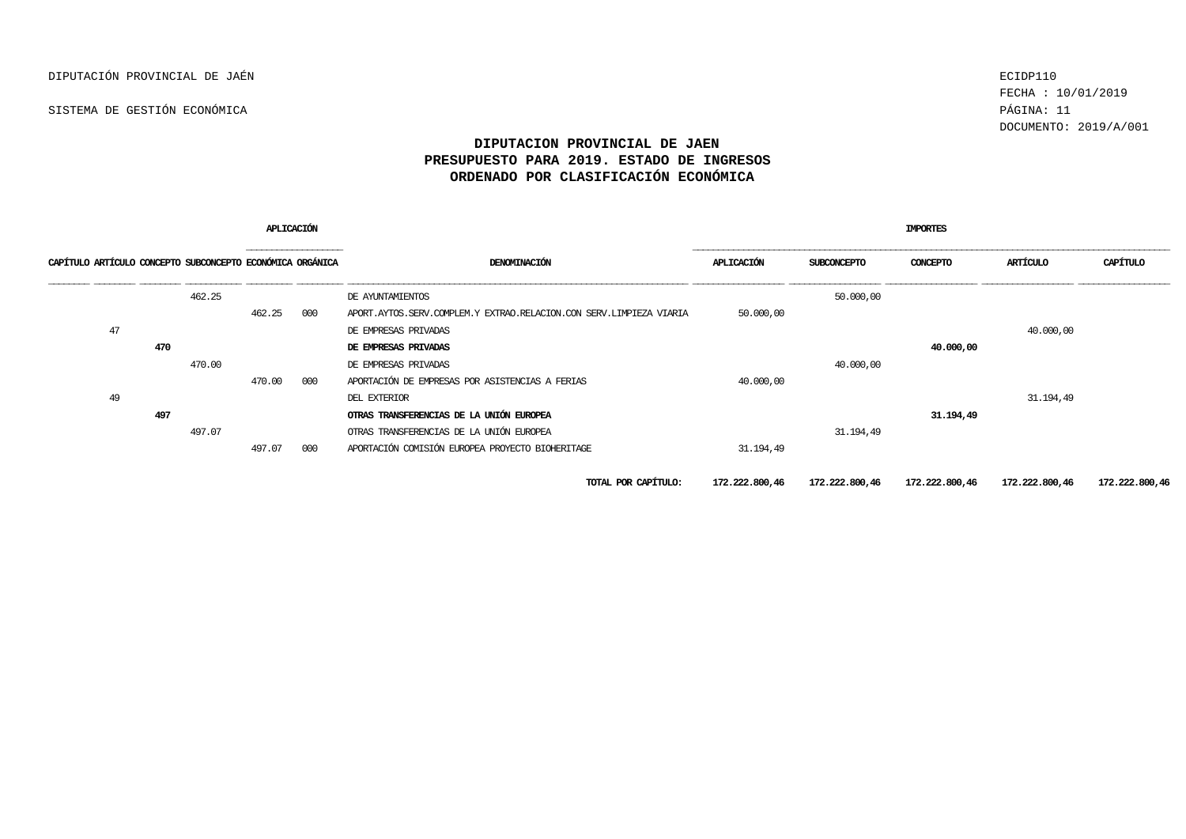FECHA : 10/01/2019 DOCUMENTO: 2019/A/001

| <b>APLICACIÓN</b>                                         |     |        |        |     |                                                                     | <b>IMPORTES</b> |             |                               |                |                |  |  |
|-----------------------------------------------------------|-----|--------|--------|-----|---------------------------------------------------------------------|-----------------|-------------|-------------------------------|----------------|----------------|--|--|
| CAPÍTULO ARTÍCULO CONCEPTO SUBCONCEPTO ECONÓMICA ORGÁNICA |     |        | .      |     | DENOMINACIÓN                                                        | APLICACIÓN      | SUBCONCEPTO | CONCEPTO                      | ARTÍCULO       | CAPÍTULO       |  |  |
|                                                           |     | 462.25 |        |     | DE AYUNTAMIENTOS                                                    |                 | 50,000,00   |                               |                |                |  |  |
|                                                           |     |        | 462.25 | 000 | APORT.AYTOS.SERV.COMPLEM.Y EXTRAO.RELACION.CON SERV.LIMPIEZA VIARIA | 50,000,00       |             |                               |                |                |  |  |
| 47                                                        |     |        |        |     | DE EMPRESAS PRIVADAS                                                |                 |             |                               | 40,000,00      |                |  |  |
|                                                           | 470 |        |        |     | DE EMPRESAS PRIVADAS                                                |                 |             | 40,000,00                     |                |                |  |  |
|                                                           |     | 470.00 |        |     | DE EMPRESAS PRIVADAS                                                |                 | 40,000,00   |                               |                |                |  |  |
|                                                           |     |        | 470.00 | 000 | APORTACIÓN DE EMPRESAS POR ASISTENCIAS A FERIAS                     | 40.000,00       |             |                               |                |                |  |  |
| 49                                                        |     |        |        |     | DEL EXTERIOR                                                        |                 |             |                               | 31, 194, 49    |                |  |  |
|                                                           | 497 |        |        |     | OTRAS TRANSFERENCIAS DE LA UNIÓN EUROPEA                            |                 |             | 31.194,49                     |                |                |  |  |
|                                                           |     | 497.07 |        |     | OTRAS TRANSFERENCIAS DE LA UNIÓN EUROPEA                            |                 | 31.194,49   |                               |                |                |  |  |
|                                                           |     |        | 497.07 | 000 | APORTACIÓN COMISIÓN EUROPEA PROYECTO BIOHERITAGE                    | 31, 194, 49     |             |                               |                |                |  |  |
|                                                           |     |        |        |     | TOTAL POR CAPÍTULO:                                                 | 172.222.800,46  |             | 172,222,800,46 172,222,800,46 | 172.222.800,46 | 172.222.800,46 |  |  |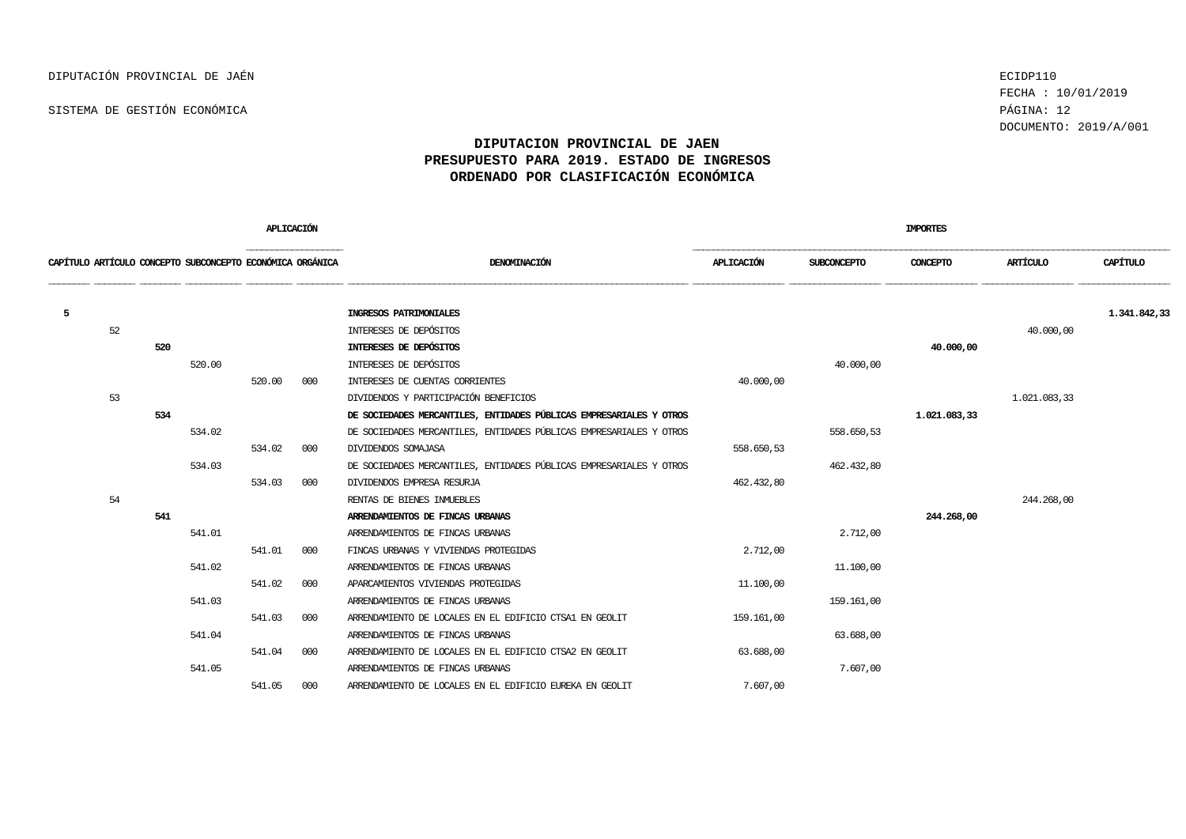FECHA : 10/01/2019 DOCUMENTO: 2019/A/001

|   |    |     |                                                           | APLICACIÓN |     |                                                                     |            |                    | <b>IMPORTES</b> |              |              |
|---|----|-----|-----------------------------------------------------------|------------|-----|---------------------------------------------------------------------|------------|--------------------|-----------------|--------------|--------------|
|   |    |     | CAPÍTULO ARTÍCULO CONCEPTO SUBCONCEPTO ECONÓMICA ORGÁNICA |            |     | DENOMINACIÓN                                                        | APLICACIÓN | <b>SUBCONCEPTO</b> | CONCEPTO        | ARTÍCULO     | CAPÍTULO     |
| 5 |    |     |                                                           |            |     | INGRESOS PATRIMONIALES                                              |            |                    |                 |              | 1.341.842,33 |
|   | 52 |     |                                                           |            |     | INTERESES DE DEPÓSITOS                                              |            |                    |                 | 40,000,00    |              |
|   |    | 520 |                                                           |            |     | INTERESES DE DEPÓSITOS                                              |            |                    | 40,000,00       |              |              |
|   |    |     | 520.00                                                    |            |     | INTERESES DE DEPÓSITOS                                              |            | 40,000,00          |                 |              |              |
|   |    |     |                                                           | 520.00     | 000 | INTERESES DE CUENTAS CORRIENTES                                     | 40,000,00  |                    |                 |              |              |
|   | 53 |     |                                                           |            |     | DIVIDENDOS Y PARTICIPACIÓN BENEFICIOS                               |            |                    |                 | 1.021.083,33 |              |
|   |    | 534 |                                                           |            |     | DE SOCIEDADES MERCANTILES, ENTIDADES PÚBLICAS EMPRESARIALES Y OTROS |            |                    | 1.021.083,33    |              |              |
|   |    |     | 534.02                                                    |            |     | DE SOCIEDADES MERCANTILES, ENTIDADES PÚBLICAS EMPRESARIALES Y OTROS |            | 558.650,53         |                 |              |              |
|   |    |     |                                                           | 534.02     | 000 | DIVIDENDOS SOMAJASA                                                 | 558.650,53 |                    |                 |              |              |
|   |    |     | 534.03                                                    |            |     | DE SOCIEDADES MERCANTILES, ENTIDADES PÚBLICAS EMPRESARIALES Y OTROS |            | 462.432,80         |                 |              |              |
|   |    |     |                                                           | 534.03     | 000 | DIVIDENDOS EMPRESA RESURJA                                          | 462.432,80 |                    |                 |              |              |
|   | 54 |     |                                                           |            |     | RENTAS DE BIENES INMUEBLES                                          |            |                    |                 | 244, 268, 00 |              |
|   |    | 541 |                                                           |            |     | ARRENDAMIENTOS DE FINCAS URBANAS                                    |            |                    | 244.268,00      |              |              |
|   |    |     | 541.01                                                    |            |     | ARRENDAMIENTOS DE FINCAS URBANAS                                    |            | 2.712,00           |                 |              |              |
|   |    |     |                                                           | 541.01     | 000 | FINCAS URBANAS Y VIVIENDAS PROTEGIDAS                               | 2.712,00   |                    |                 |              |              |
|   |    |     | 541.02                                                    |            |     | ARRENDAMIENTOS DE FINCAS URBANAS                                    |            | 11,100,00          |                 |              |              |
|   |    |     |                                                           | 541.02     | 000 | APARCAMIENTOS VIVIENDAS PROTEGIDAS                                  | 11,100,00  |                    |                 |              |              |
|   |    |     | 541.03                                                    |            |     | ARRENDAMIENTOS DE FINCAS URBANAS                                    |            | 159.161,00         |                 |              |              |
|   |    |     |                                                           | 541.03     | 000 | ARRENDAMIENTO DE LOCALES EN EL EDIFICIO CTSA1 EN GEOLIT             | 159.161,00 |                    |                 |              |              |
|   |    |     | 541.04                                                    |            |     | ARRENDAMIENTOS DE FINCAS URBANAS                                    |            | 63.688,00          |                 |              |              |
|   |    |     |                                                           | 541.04     | 000 | ARRENDAMIENTO DE LOCALES EN EL EDIFICIO CTSA2 EN GEOLIT             | 63.688,00  |                    |                 |              |              |
|   |    |     | 541.05                                                    |            |     | ARRENDAMIENTOS DE FINCAS URBANAS                                    |            | 7.607,00           |                 |              |              |
|   |    |     |                                                           | 541.05     | 000 | ARRENDAMIENTO DE LOCALES EN EL EDIFICIO EUREKA EN GEOLIT            | 7.607,00   |                    |                 |              |              |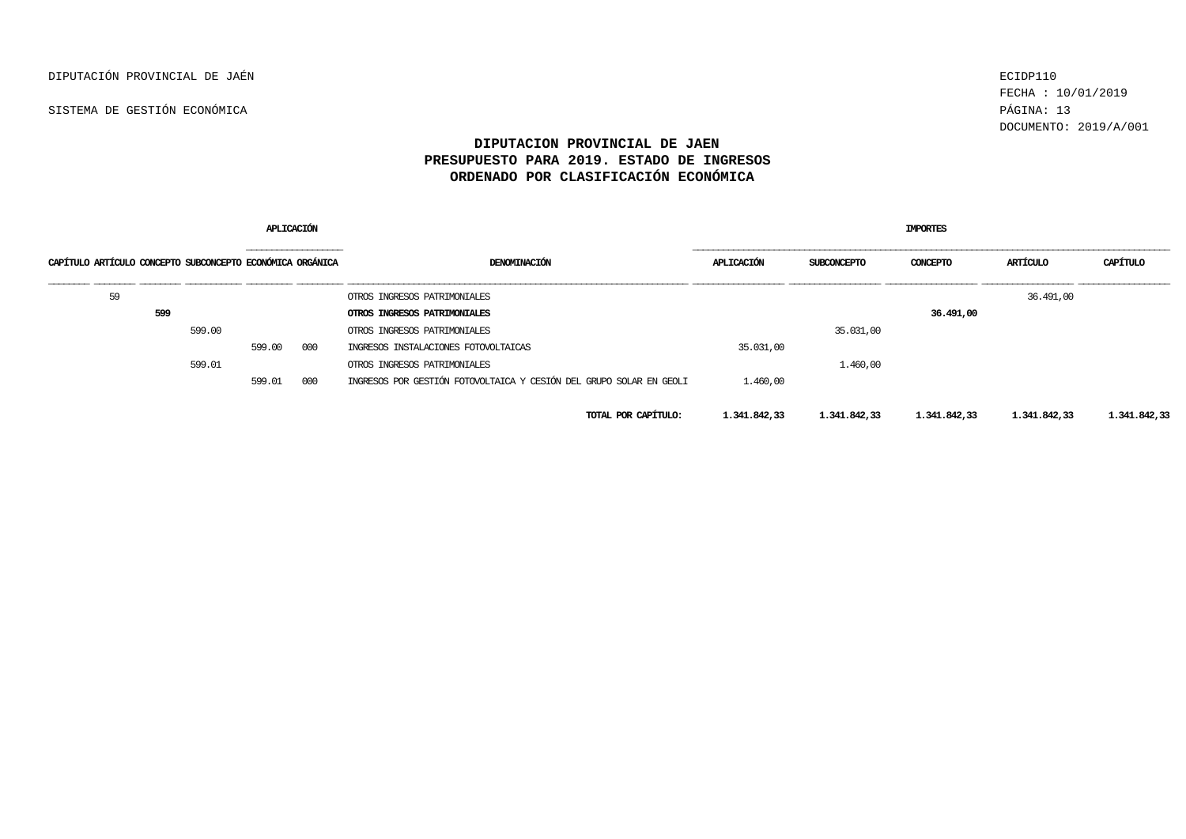FECHA : 10/01/2019 DOCUMENTO: 2019/A/001

| APLICACIÓN                                                |     |        |        |     |                                                                     | <b>IMPORTES</b> |              |              |              |              |  |  |  |
|-----------------------------------------------------------|-----|--------|--------|-----|---------------------------------------------------------------------|-----------------|--------------|--------------|--------------|--------------|--|--|--|
| CAPÍTULO ARTÍCULO CONCEPTO SUBCONCEPTO ECONÓMICA ORGÁNICA |     |        |        |     | DENOMINACIÓN                                                        | APLICACIÓN      | SUBCONCEPTO  | CONCEPTO     | ARTÍCULO     | CAPÍTULO     |  |  |  |
| 59                                                        |     |        |        |     | OTROS INGRESOS PATRIMONIALES                                        |                 |              |              | 36.491,00    |              |  |  |  |
|                                                           | 599 |        |        |     | OTROS INGRESOS PATRIMONIALES                                        |                 |              | 36.491,00    |              |              |  |  |  |
|                                                           |     | 599.00 |        |     | OTROS INGRESOS PATRIMONIALES                                        |                 | 35.031,00    |              |              |              |  |  |  |
|                                                           |     |        | 599.00 | 000 | INGRESOS INSTALACIONES FOTOVOLTAICAS                                | 35.031,00       |              |              |              |              |  |  |  |
|                                                           |     | 599.01 |        |     | OTROS INGRESOS PATRIMONIALES                                        |                 | 1,460,00     |              |              |              |  |  |  |
|                                                           |     |        | 599.01 | 000 | INGRESOS POR GESTIÓN FOTOVOLTAICA Y CESIÓN DEL GRUPO SOLAR EN GEOLI | 1,460,00        |              |              |              |              |  |  |  |
|                                                           |     |        |        |     | TOTAL POR CAPÍTULO:                                                 | 1,341,842,33    | 1.341.842,33 | 1.341.842,33 | 1,341,842,33 | 1,341,842,33 |  |  |  |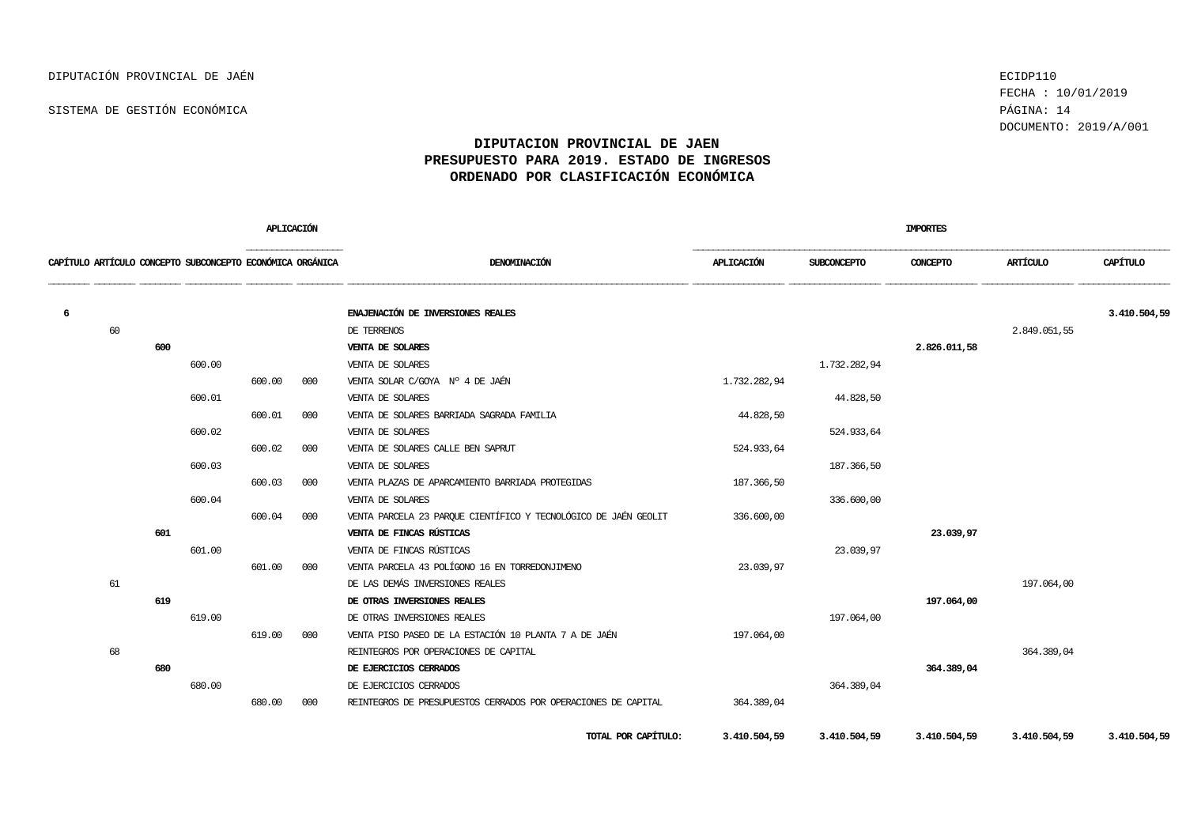FECHA : 10/01/2019 DOCUMENTO: 2019/A/001

|   |                                                           |     |        | <b>APLICACIÓN</b> |     |                                                                 |              |                    | <b>IMPORTES</b> |              |              |
|---|-----------------------------------------------------------|-----|--------|-------------------|-----|-----------------------------------------------------------------|--------------|--------------------|-----------------|--------------|--------------|
|   | CAPÍTULO ARTÍCULO CONCEPTO SUBCONCEPTO ECONÓMICA ORGÁNICA |     |        |                   |     | DENOMINACIÓN                                                    | APLICACIÓN   | <b>SUBCONCEPTO</b> | <b>CONCEPTO</b> | ARTÍCULO     | CAPÍTULO     |
| 6 |                                                           |     |        |                   |     | ENAJENACIÓN DE INVERSIONES REALES                               |              |                    |                 |              | 3.410.504,59 |
|   | 60                                                        |     |        |                   |     | DE TERRENOS                                                     |              |                    |                 | 2.849.051,55 |              |
|   |                                                           | 600 |        |                   |     | VENTA DE SOLARES                                                |              |                    | 2.826.011,58    |              |              |
|   |                                                           |     | 600.00 |                   |     | VENTA DE SOLARES                                                |              | 1.732.282,94       |                 |              |              |
|   |                                                           |     |        | 600.00            | 000 | VENTA SOLAR C/GOYA Nº 4 DE JAÉN                                 | 1,732,282,94 |                    |                 |              |              |
|   |                                                           |     | 600.01 |                   |     | VENTA DE SOLARES                                                |              | 44.828,50          |                 |              |              |
|   |                                                           |     |        | 600.01            | 000 | VENTA DE SOLARES BARRIADA SAGRADA FAMILIA                       | 44.828,50    |                    |                 |              |              |
|   |                                                           |     | 600.02 |                   |     | VENTA DE SOLARES                                                |              | 524.933,64         |                 |              |              |
|   |                                                           |     |        | 600.02            | 000 | VENTA DE SOLARES CALLE BEN SAPRUT                               | 524.933,64   |                    |                 |              |              |
|   |                                                           |     | 600.03 |                   |     | VENTA DE SOLARES                                                |              | 187.366,50         |                 |              |              |
|   |                                                           |     |        | 600.03            | 000 | VENTA PLAZAS DE APARCAMIENTO BARRIADA PROTEGIDAS                | 187.366,50   |                    |                 |              |              |
|   |                                                           |     | 600.04 |                   |     | VENTA DE SOLARES                                                |              | 336,600,00         |                 |              |              |
|   |                                                           |     |        | 600.04            | 000 | VENTA PARCELA 23 PARQUE CIENTÍFICO Y TECNOLÓGICO DE JAÉN GEOLIT | 336.600,00   |                    |                 |              |              |
|   |                                                           | 601 |        |                   |     | VENTA DE FINCAS RÚSTICAS                                        |              |                    | 23.039,97       |              |              |
|   |                                                           |     | 601.00 |                   |     | VENTA DE FINCAS RÚSTICAS                                        |              | 23.039,97          |                 |              |              |
|   |                                                           |     |        | 601.00            | 000 | VENTA PARCELA 43 POLÍGONO 16 EN TORREDONJIMENO                  | 23.039,97    |                    |                 |              |              |
|   | 61                                                        |     |        |                   |     | DE LAS DEMÁS INVERSIONES REALES                                 |              |                    |                 | 197.064,00   |              |
|   |                                                           | 619 |        |                   |     | DE OTRAS INVERSIONES REALES                                     |              |                    | 197.064,00      |              |              |
|   |                                                           |     | 619.00 |                   |     | DE OTRAS INVERSIONES REALES                                     |              | 197.064,00         |                 |              |              |
|   |                                                           |     |        | 619.00            | 000 | VENTA PISO PASEO DE LA ESTACIÓN 10 PLANTA 7 A DE JAÉN           | 197.064,00   |                    |                 |              |              |
|   | 68                                                        |     |        |                   |     | REINTEGROS POR OPERACIONES DE CAPITAL                           |              |                    |                 | 364, 389, 04 |              |
|   |                                                           | 680 |        |                   |     | DE EJERCICIOS CERRADOS                                          |              |                    | 364.389,04      |              |              |
|   |                                                           |     | 680.00 |                   |     | DE EJERCICIOS CERRADOS                                          |              | 364, 389, 04       |                 |              |              |
|   |                                                           |     |        | 680.00            | 000 | REINIEGROS DE PRESUPUESTOS CERRADOS POR OPERACIONES DE CAPITAL  | 364.389,04   |                    |                 |              |              |
|   |                                                           |     |        |                   |     | TOTAL POR CAPÍTULO:                                             | 3.410.504,59 | 3.410.504,59       | 3.410.504,59    | 3.410.504,59 | 3.410.504,59 |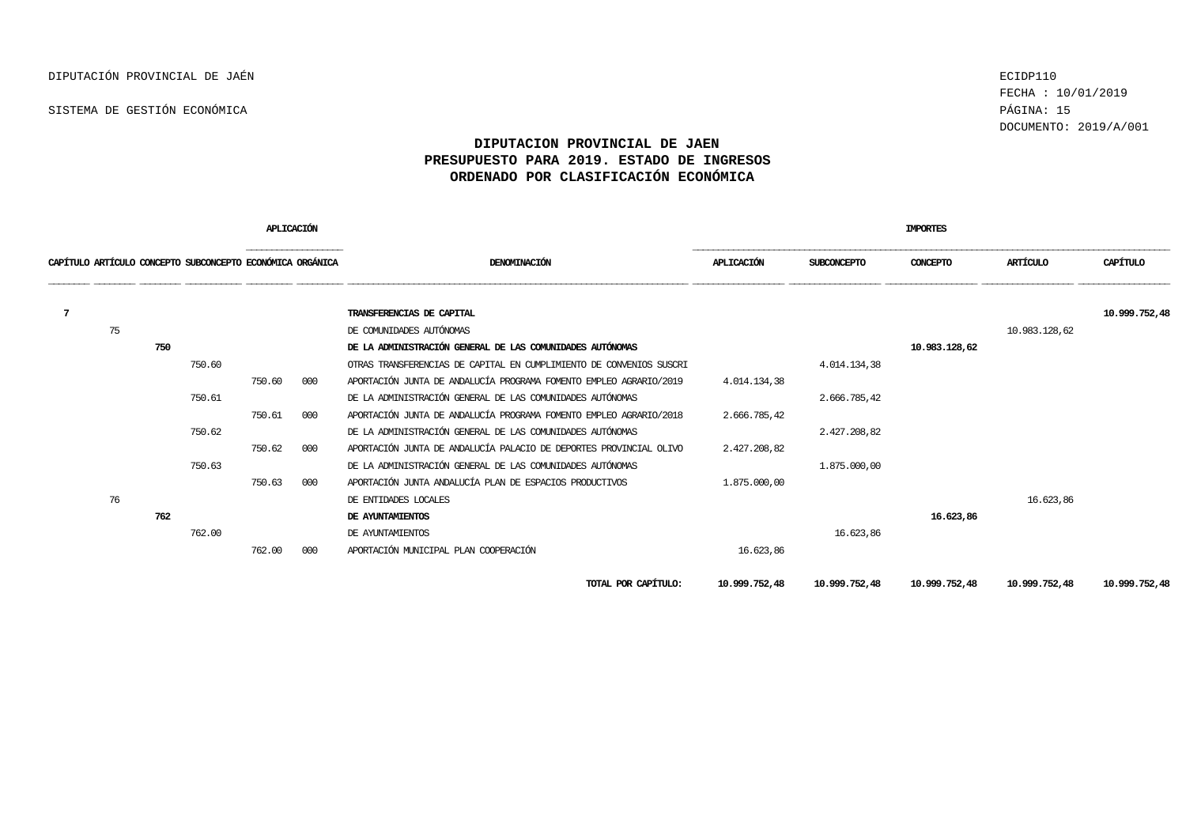FECHA : 10/01/2019 DOCUMENTO: 2019/A/001

#### **DIPUTACION PROVINCIAL DE JAEN PRESUPUESTO PARA 2019. ESTADO DE INGRESOS ORDENADO POR CLASIFICACIÓN ECONÓMICA**

|   |    |     |                                                           | <b>APLICACIÓN</b> |     |                                                                     |              |                    | <b>IMPORTES</b> |               |               |
|---|----|-----|-----------------------------------------------------------|-------------------|-----|---------------------------------------------------------------------|--------------|--------------------|-----------------|---------------|---------------|
|   |    |     | CAPÍTULO ARTÍCULO CONCEPTO SUBCONCEPTO ECONÓMICA ORGÁNICA |                   |     | DENOMINACIÓN                                                        | APLICACIÓN   | <b>SUBCONCEPTO</b> | CONCEPTO        | ARTÍCULO      | CAPÍTULO      |
| 7 |    |     |                                                           |                   |     | TRANSFERENCIAS DE CAPITAL                                           |              |                    |                 |               | 10.999.752,48 |
|   | 75 |     |                                                           |                   |     | DE COMUNIDADES AUTÓNOMAS                                            |              |                    |                 | 10.983.128,62 |               |
|   |    | 750 |                                                           |                   |     | DE LA ADMINISTRACIÓN GENERAL DE LAS COMUNIDADES AUTÓNOMAS           |              |                    | 10.983.128,62   |               |               |
|   |    |     | 750.60                                                    |                   |     | OTRAS TRANSFERENCIAS DE CAPITAL EN CUMPLIMIENTO DE CONVENIOS SUSCRI |              | 4.014.134,38       |                 |               |               |
|   |    |     |                                                           | 750.60            | 000 | APORTACIÓN JUNTA DE ANDALUCÍA PROGRAMA FOMENTO EMPLEO AGRARIO/2019  | 4.014.134.38 |                    |                 |               |               |
|   |    |     | 750.61                                                    |                   |     | DE LA ADMINISTRACIÓN GENERAL DE LAS COMUNIDADES AUTÓNOMAS           |              | 2.666.785.42       |                 |               |               |
|   |    |     |                                                           | 750.61            | 000 | APORTACIÓN JUNTA DE ANDALICÍA PROGRAMA FOMENTO EMPLEO AGRARIO/2018  | 2.666.785,42 |                    |                 |               |               |
|   |    |     | 750.62                                                    |                   |     | DE LA ADMINISTRACIÓN GENERAL DE LAS COMUNIDADES AUTÓNOMAS           |              | 2.427.208,82       |                 |               |               |
|   |    |     |                                                           | 750.62            | 000 | APORTACIÓN JUNTA DE ANDALUCÍA PALACIO DE DEPORTES PROVINCIAL OLIVO  | 2.427.208,82 |                    |                 |               |               |
|   |    |     | 750.63                                                    |                   |     | DE LA ADMINISTRACIÓN GENERAL DE LAS COMUNIDADES AUTÓNOMAS           |              | 1,875,000,00       |                 |               |               |
|   |    |     |                                                           | 750.63            | 000 | APORTACIÓN JUNTA ANDALUCÍA PLAN DE ESPACIOS PRODUCTIVOS             | 1,875,000,00 |                    |                 |               |               |
|   | 76 |     |                                                           |                   |     | DE ENTIDADES LOCALES                                                |              |                    |                 | 16.623.86     |               |
|   |    | 762 |                                                           |                   |     | DE AYUNTAMIENTOS                                                    |              |                    | 16.623,86       |               |               |
|   |    |     | 762.00                                                    |                   |     | DE AYUNTAMIENTOS                                                    |              | 16.623,86          |                 |               |               |
|   |    |     |                                                           | 762.00            | 000 | APORTACIÓN MUNICIPAL PLAN COOPERACIÓN                               | 16.623,86    |                    |                 |               |               |

**TOTAL POR CAPÍTULO: 10.999.752,48 10.999.752,48 10.999.752,48 10.999.752,48 10.999.752,48**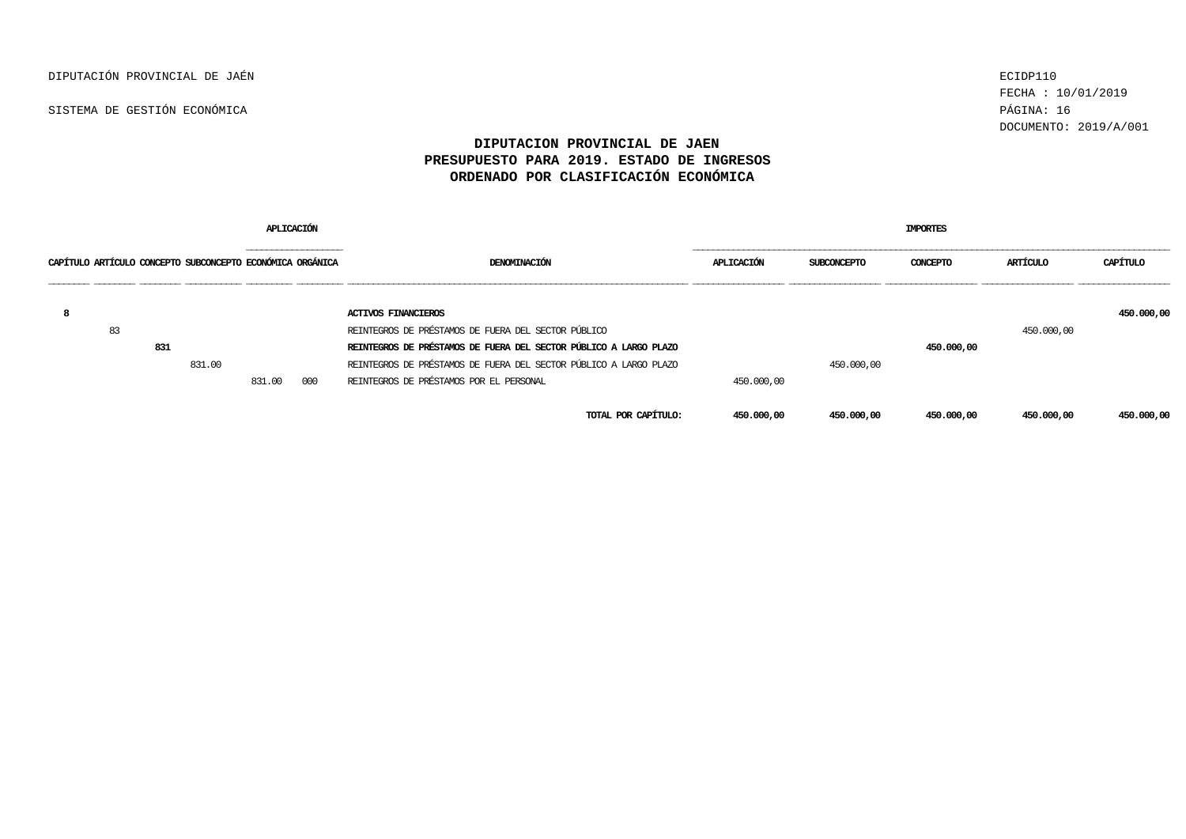DIPUTACIÓN PROVINCIAL DE JAÉN ECIDP110

SISTEMA DE GESTIÓN ECONÓMICA PÁGINA: 16

FECHA : 10/01/2019 DOCUMENTO: 2019/A/001

| APLICACIÓN                                                |     |        |                             |     |                                                                   | <b>IMPORTES</b> |                    |            |            |            |  |  |  |
|-----------------------------------------------------------|-----|--------|-----------------------------|-----|-------------------------------------------------------------------|-----------------|--------------------|------------|------------|------------|--|--|--|
| CAPÍTULO ARTÍCULO CONCEPTO SUBCONCEPTO ECONÓMICA ORGÁNICA |     |        | ___________________________ |     | DENOMINACIÓN                                                      | APLICACIÓN      | <b>SUBCONCEPTO</b> | CONCEPTO   | ARTÍCULO   | С"ΑΡΤ'ΠΤΩ  |  |  |  |
| -8                                                        |     |        |                             |     | <b>ACTIVOS FINANCIEROS</b>                                        |                 |                    |            |            | 450,000,00 |  |  |  |
| 83                                                        |     |        |                             |     | REINTEGROS DE PRÉSTAMOS DE FUERA DEL SECTOR PÚBLICO               |                 |                    |            | 450,000,00 |            |  |  |  |
|                                                           | 831 |        |                             |     | REINTECROS DE PRÉSTAMOS DE FUERA DEL SECTOR PÚBLICO A LARGO PLAZO |                 |                    | 450,000,00 |            |            |  |  |  |
|                                                           |     | 831.00 |                             |     | REINTEGROS DE PRÉSTAMOS DE FUERA DEL SECTOR PÚBLICO A LARGO PLAZO |                 | 450,000,00         |            |            |            |  |  |  |
|                                                           |     |        | 831.00                      | 000 | REINTECROS DE PRÉSTAMOS POR EL PERSONAL                           | 450,000,00      |                    |            |            |            |  |  |  |
|                                                           |     |        |                             |     | TOTAL POR CAPÍTULO:                                               | 450.000,00      | 450,000,00         | 450,000,00 | 450,000,00 | 450.000,00 |  |  |  |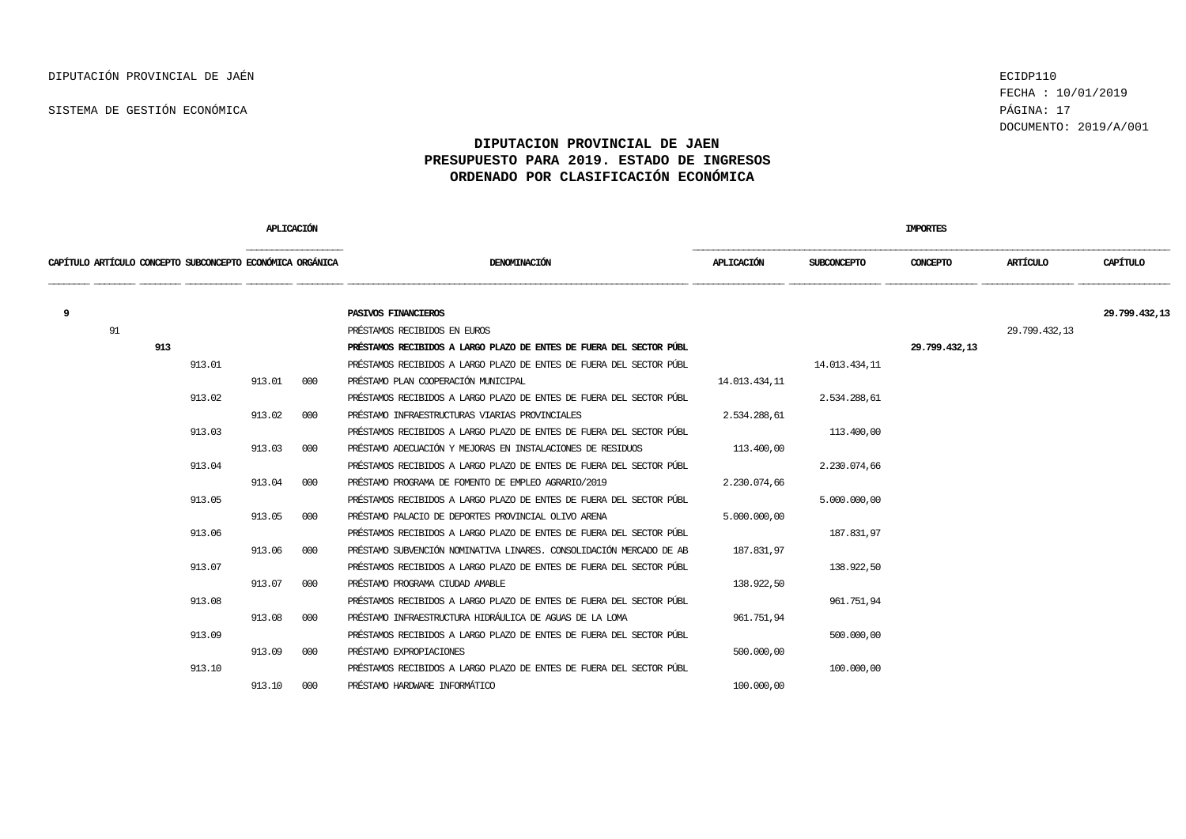FECHA : 10/01/2019 DOCUMENTO: 2019/A/001

|                                                           |     |        |        | APLICACIÓN |                                                                     |               | <b>IMPORTES</b>    |               |               |               |  |  |
|-----------------------------------------------------------|-----|--------|--------|------------|---------------------------------------------------------------------|---------------|--------------------|---------------|---------------|---------------|--|--|
| CAPÍTULO ARTÍCULO CONCEPTO SUBCONCEPTO ECONÓMICA ORGÁNICA |     |        |        |            | DENOMINACIÓN                                                        | APLICACIÓN    | <b>SUBCONCEPTO</b> | CONCEPTO      | ARTÍCULO      | CAPÍTULO      |  |  |
| 9                                                         |     |        |        |            | PASIVOS FINANCIEROS                                                 |               |                    |               |               | 29.799.432,13 |  |  |
|                                                           | 91  |        |        |            | PRÉSTAMOS RECIBIDOS EN EUROS                                        |               |                    |               | 29.799.432,13 |               |  |  |
|                                                           | 913 |        |        |            | PRÉSTAMOS RECIBIDOS A LARGO PLAZO DE ENTES DE FUERA DEL SECTOR PÚBL |               |                    | 29.799.432.13 |               |               |  |  |
|                                                           |     | 913.01 |        |            | PRÉSTAMOS RECIBIDOS A LARGO PLAZO DE ENTES DE FUERA DEL SECTOR PÚBL |               | 14.013.434,11      |               |               |               |  |  |
|                                                           |     |        | 913.01 | 000        | PRÉSTAMO PLAN COOPERACIÓN MUNICIPAL                                 | 14.013.434,11 |                    |               |               |               |  |  |
|                                                           |     | 913.02 |        |            | PRÉSTAMOS RECIBIDOS A LARGO PLAZO DE ENTES DE FUERA DEL SECTOR PÚBL |               | 2.534.288,61       |               |               |               |  |  |
|                                                           |     |        | 913.02 | 000        | PRÉSTAMO INFRAESTRUCTURAS VIARIAS PROVINCIALES                      | 2.534.288.61  |                    |               |               |               |  |  |
|                                                           |     | 913.03 |        |            | PRÉSTAMOS RECIBIDOS A LARGO PLAZO DE ENTES DE FUERA DEL SECTOR PÚBL |               | 113,400,00         |               |               |               |  |  |
|                                                           |     |        | 913.03 | 000        | PRÉSTAMO ADECUACIÓN Y MEJORAS EN INSTALACIONES DE RESIDUOS          | 113,400,00    |                    |               |               |               |  |  |
|                                                           |     | 913.04 |        |            | PRÉSTAMOS RECIBIDOS A LARGO PLAZO DE ENTES DE FUERA DEL SECTOR PÚBL |               | 2.230.074,66       |               |               |               |  |  |
|                                                           |     |        | 913.04 | 000        | PRÉSTAMO PROGRAMA DE FOMENTO DE EMPLEO AGRARIO/2019                 | 2.230.074,66  |                    |               |               |               |  |  |
|                                                           |     | 913.05 |        |            | PRÉSTAMOS RECIBIDOS A LARGO PLAZO DE ENTES DE FUERA DEL SECTOR PÚBL |               | 5.000.000,00       |               |               |               |  |  |
|                                                           |     |        | 913.05 | 000        | PRÉSTAMO PALACIO DE DEPORTES PROVINCIAL OLIVO ARENA                 | 5.000.000,00  |                    |               |               |               |  |  |
|                                                           |     | 913.06 |        |            | PRÉSTAMOS RECIBIDOS A LARGO PLAZO DE ENTES DE FUERA DEL SECTOR PÚBL |               | 187.831,97         |               |               |               |  |  |
|                                                           |     |        | 913.06 | 000        | PRÉSTAMO SUBVENCIÓN NOMINATIVA LINARES, CONSOLIDACIÓN MERCADO DE AB | 187.831,97    |                    |               |               |               |  |  |
|                                                           |     | 913.07 |        |            | PRÉSTAMOS RECIBIDOS A LARGO PLAZO DE ENTES DE FUERA DEL SECTOR PÚBL |               | 138.922,50         |               |               |               |  |  |
|                                                           |     |        | 913.07 | 000        | PRÉSTAMO PROGRAMA CIUDAD AMABLE                                     | 138.922,50    |                    |               |               |               |  |  |
|                                                           |     | 913.08 |        |            | PRÉSTAMOS RECIBIDOS A LARGO PLAZO DE ENTES DE FUERA DEL SECTOR PÚBL |               | 961.751,94         |               |               |               |  |  |
|                                                           |     |        | 913.08 | 000        | PRÉSTAMO INFRAESTRUCTURA HIDRÁULICA DE AGUAS DE LA LOMA             | 961.751,94    |                    |               |               |               |  |  |
|                                                           |     | 913.09 |        |            | PRÉSTAMOS RECIBIDOS A LARGO PLAZO DE ENTES DE FUERA DEL SECTOR PÚBL |               | 500,000,00         |               |               |               |  |  |
|                                                           |     |        | 913.09 | 000        | PRÉSTAMO EXPROPIACIONES                                             | 500,000,00    |                    |               |               |               |  |  |
|                                                           |     | 913.10 |        |            | PRÉSTAMOS RECIBIDOS A LARGO PLAZO DE ENTES DE FUERA DEL SECTOR PÚBL |               | 100,000,00         |               |               |               |  |  |
|                                                           |     |        | 913.10 | 000        | PRÉSTAMO HARDWARE INFORMÁTICO                                       | 100.000,00    |                    |               |               |               |  |  |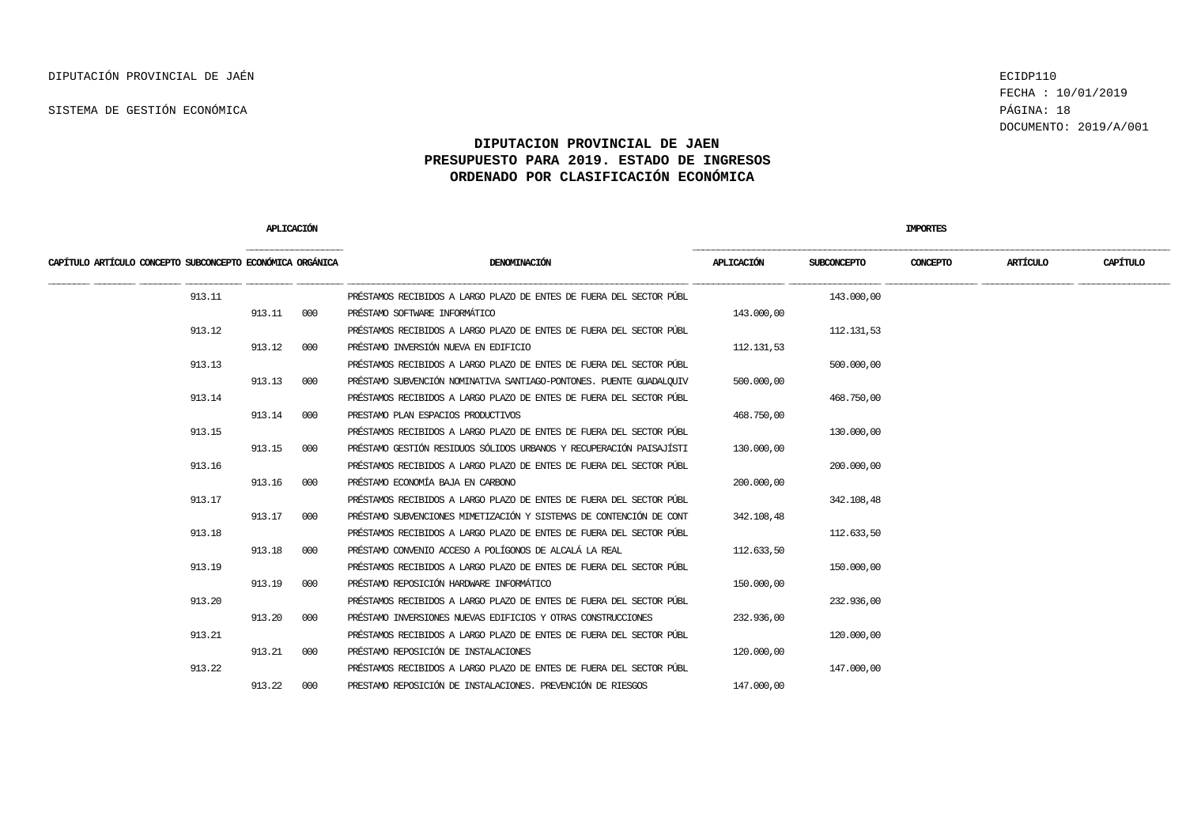FECHA : 10/01/2019 DOCUMENTO: 2019/A/001

|                                                           | <b>APLICACION</b> |     |                                                                     |            |              | <b>IMPORTES</b> |          |          |
|-----------------------------------------------------------|-------------------|-----|---------------------------------------------------------------------|------------|--------------|-----------------|----------|----------|
| CAPÍTULO ARTÍCULO CONCEPTO SUBCONCEPTO ECONÓMICA ORGÁNICA |                   |     | DENOMINACIÓN                                                        | APLICACIÓN | SUBCONCEPTO  | CONCEPTO        | ARTÍCULO | CAPÍTULO |
| 913.11                                                    |                   |     | PRÉSTAMOS RECIBIDOS A LARGO PLAZO DE ENTES DE FUERA DEL SECTOR PÚBL |            | 143.000,00   |                 |          |          |
|                                                           | 913.11            | 000 | PRÉSTAMO SOFTWARE INFORMÁTICO                                       | 143.000,00 |              |                 |          |          |
| 913.12                                                    |                   |     | PRÉSTAMOS RECIBIDOS A LARGO PLAZO DE ENTES DE FUERA DEL SECTOR PÚBL |            | 112, 131, 53 |                 |          |          |
|                                                           | 913.12            | 000 | PRÉSTAMO INVERSIÓN NUEVA EN EDIFICIO                                | 112.131,53 |              |                 |          |          |
| 913.13                                                    |                   |     | PRÉSTAMOS RECIBIDOS A LARGO PLAZO DE ENTES DE FUERA DEL SECTOR PÚBL |            | 500,000,00   |                 |          |          |
|                                                           | 913.13            | 000 | PRÉSTAMO SUBVENCIÓN NOMINATIVA SANTIAGO-PONTONES. PUENTE GUADALOUIV | 500,000,00 |              |                 |          |          |
| 913.14                                                    |                   |     | PRÉSTAMOS RECIBIDOS A LARGO PLAZO DE ENTES DE FUERA DEL SECTOR PÚBL |            | 468.750,00   |                 |          |          |
|                                                           | 913.14            | 000 | PRESTAMO PLAN ESPACIOS PRODUCTIVOS                                  | 468.750,00 |              |                 |          |          |
| 913.15                                                    |                   |     | PRÉSTAMOS RECIBIDOS A LARGO PLAZO DE ENTES DE FUERA DEL SECTOR PÚBL |            | 130.000,00   |                 |          |          |
|                                                           | 913.15            | 000 | PRÉSTAMO GESTIÓN RESIDUOS SÓLIDOS URBANOS Y RECUPERACIÓN PAISAJÍSTI | 130,000,00 |              |                 |          |          |
| 913.16                                                    |                   |     | PRÉSTAMOS RECIBIDOS A LARGO PLAZO DE ENTES DE FUERA DEL SECTOR PÚBL |            | 200,000,00   |                 |          |          |
|                                                           | 913.16            | 000 | PRÉSTAMO ECONOMÍA BAJA EN CARBONO                                   | 200.000,00 |              |                 |          |          |
| 913.17                                                    |                   |     | PRÉSTAMOS RECIBIDOS A LARGO PLAZO DE ENTES DE FUERA DEL SECTOR PÚBL |            | 342, 108, 48 |                 |          |          |
|                                                           | 913.17            | 000 | PRÉSTAMO SUBVENCIONES MIMETIZACIÓN Y SISTEMAS DE CONTENCIÓN DE CONT | 342.108,48 |              |                 |          |          |
| 913.18                                                    |                   |     | PRÉSTAMOS RECIBIDOS A LARGO PLAZO DE ENTES DE FUERA DEL SECTOR PÚBL |            | 112.633,50   |                 |          |          |
|                                                           | 913.18            | 000 | PRÉSTAMO CONVENIO ACCESO A POLÍGONOS DE ALCALÁ LA REAL              | 112.633,50 |              |                 |          |          |
| 913.19                                                    |                   |     | PRÉSTAMOS RECIBIDOS A LARGO PLAZO DE ENTES DE FUERA DEL SECTOR PÚBL |            | 150.000,00   |                 |          |          |
|                                                           | 913.19            | 000 | PRÉSTAMO REPOSICIÓN HARDWARE INFORMÁTICO                            | 150,000,00 |              |                 |          |          |
| 913.20                                                    |                   |     | PRÉSTAMOS RECIBIDOS A LARGO PLAZO DE ENTES DE FUERA DEL SECTOR PÚBL |            | 232.936,00   |                 |          |          |
|                                                           | 913.20            | 000 | PRÉSTAMO INVERSIONES NUEVAS EDIFICIOS Y OTRAS CONSTRUCCIONES        | 232.936,00 |              |                 |          |          |
| 913.21                                                    |                   |     | PRÉSTAMOS RECIBIDOS A LARGO PLAZO DE ENTES DE FUERA DEL SECTOR PÚBL |            | 120.000,00   |                 |          |          |
|                                                           | 913.21            | 000 | PRÉSTAMO REPOSICIÓN DE INSTALACIONES                                | 120,000,00 |              |                 |          |          |
| 913.22                                                    |                   |     | PRÉSTAMOS RECIBIDOS A LARGO PLAZO DE ENTES DE FUERA DEL SECTOR PÚBL |            | 147.000,00   |                 |          |          |
|                                                           | 913.22            | 000 | PRESTAMO REPOSICIÓN DE INSTALACIONES. PREVENCIÓN DE RIESGOS         | 147,000,00 |              |                 |          |          |